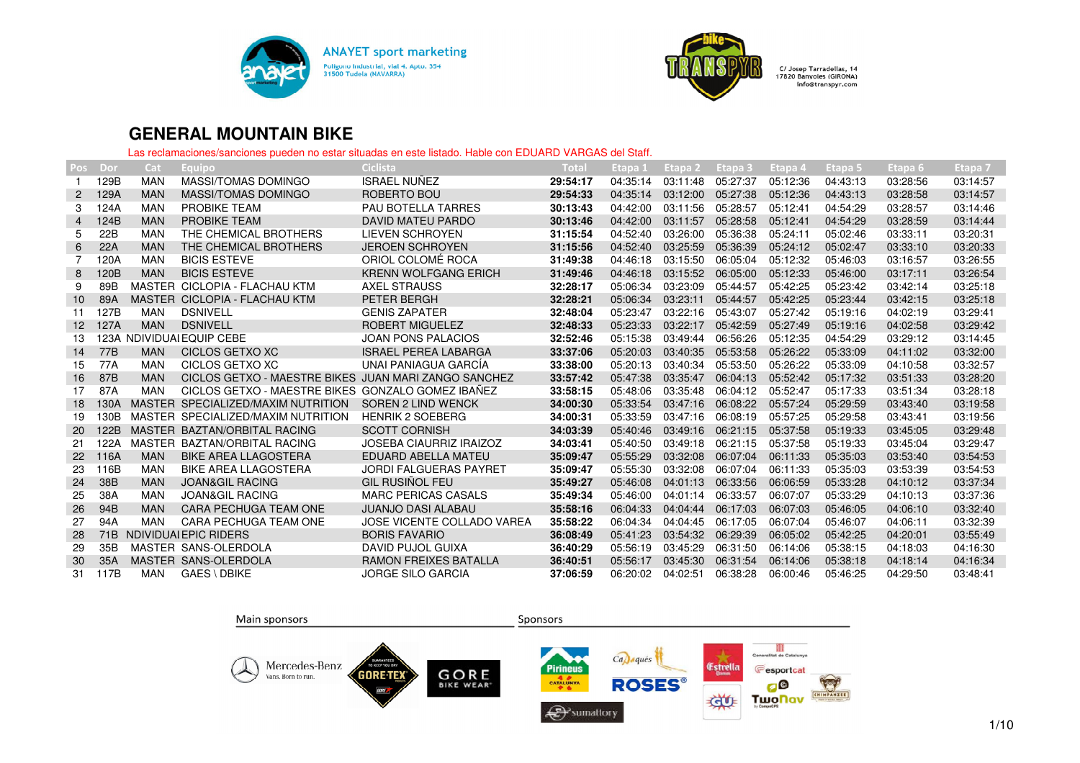



| <b>Pos</b>      | Dor  | Cat        | Equipo                                               | Ciclista                       | Total    | Etapa 1  | Etapa 2  | Etapa 3  | Etapa 4  | Etapa 5  | Etapa 6  | Etapa 7  |
|-----------------|------|------------|------------------------------------------------------|--------------------------------|----------|----------|----------|----------|----------|----------|----------|----------|
|                 | 129B | <b>MAN</b> | MASSI/TOMAS DOMINGO                                  | <b>ISRAEL NUNEZ</b>            | 29:54:17 | 04:35:14 | 03:11:48 | 05:27:37 | 05:12:36 | 04:43:13 | 03:28:56 | 03:14:57 |
| $\overline{2}$  | 129A | <b>MAN</b> | <b>MASSI/TOMAS DOMINGO</b>                           | ROBERTO BOU                    | 29:54:33 | 04:35:14 | 03:12:00 | 05:27:38 | 05:12:36 | 04:43:13 | 03:28:58 | 03:14:57 |
| 3               | 124A | <b>MAN</b> | <b>PROBIKE TEAM</b>                                  | <b>PAU BOTELLA TARRES</b>      | 30:13:43 | 04:42:00 | 03:11:56 | 05:28:57 | 05:12:41 | 04:54:29 | 03:28:57 | 03:14:46 |
| 4               | 124B | <b>MAN</b> | <b>PROBIKE TEAM</b>                                  | DAVID MATEU PARDO              | 30:13:46 | 04:42:00 | 03:11:57 | 05:28:58 | 05:12:41 | 04:54:29 | 03:28:59 | 03:14:44 |
| 5               | 22B  | <b>MAN</b> | THE CHEMICAL BROTHERS                                | <b>LIEVEN SCHROYEN</b>         | 31:15:54 | 04:52:40 | 03:26:00 | 05:36:38 | 05:24:11 | 05:02:46 | 03:33:11 | 03:20:31 |
| 6               | 22A  | <b>MAN</b> | THE CHEMICAL BROTHERS                                | <b>JEROEN SCHROYEN</b>         | 31:15:56 | 04:52:40 | 03:25:59 | 05:36:39 | 05:24:12 | 05:02:47 | 03:33:10 | 03:20:33 |
|                 | 120A | <b>MAN</b> | <b>BICIS ESTEVE</b>                                  | ORIOL COLOMÉ ROCA              | 31:49:38 | 04:46:18 | 03:15:50 | 06:05:04 | 05:12:32 | 05:46:03 | 03:16:57 | 03:26:55 |
| 8               | 120B | <b>MAN</b> | <b>BICIS ESTEVE</b>                                  | <b>KRENN WOLFGANG ERICH</b>    | 31:49:46 | 04:46:18 | 03:15:52 | 06:05:00 | 05:12:33 | 05:46:00 | 03:17:11 | 03:26:54 |
| 9               | 89B  |            | MASTER CICLOPIA - FLACHAU KTM                        | <b>AXEL STRAUSS</b>            | 32:28:17 | 05:06:34 | 03:23:09 | 05:44:57 | 05:42:25 | 05:23:42 | 03:42:14 | 03:25:18 |
| 10              | 89A  |            | MASTER CICLOPIA - FLACHAU KTM                        | PETER BERGH                    | 32:28:21 | 05:06:34 | 03:23:11 | 05:44:57 | 05:42:25 | 05:23:44 | 03:42:15 | 03:25:18 |
| 11              | 127B | MAN        | <b>DSNIVELL</b>                                      | <b>GENIS ZAPATER</b>           | 32:48:04 | 05:23:47 | 03:22:16 | 05:43:07 | 05:27:42 | 05:19:16 | 04:02:19 | 03:29:41 |
| 12 <sup>2</sup> | 127A | <b>MAN</b> | <b>DSNIVELL</b>                                      | <b>ROBERT MIGUELEZ</b>         | 32:48:33 | 05:23:33 | 03:22:17 | 05:42:59 | 05:27:49 | 05:19:16 | 04:02:58 | 03:29:42 |
| 13              |      |            | 123A NDIVIDUAI EQUIP CEBE                            | <b>JOAN PONS PALACIOS</b>      | 32:52:46 | 05:15:38 | 03:49:44 | 06:56:26 | 05:12:35 | 04:54:29 | 03:29:12 | 03:14:45 |
| 14              | 77B  | <b>MAN</b> | CICLOS GETXO XC                                      | <b>ISRAEL PEREA LABARGA</b>    | 33:37:06 | 05:20:03 | 03:40:35 | 05:53:58 | 05:26:22 | 05:33:09 | 04:11:02 | 03:32:00 |
| 15              | 77A  | <b>MAN</b> | CICLOS GETXO XC                                      | UNAI PANIAGUA GARCÍA           | 33:38:00 | 05:20:13 | 03:40:34 | 05:53:50 | 05:26:22 | 05:33:09 | 04:10:58 | 03:32:57 |
| 16              | 87B  | <b>MAN</b> | CICLOS GETXO - MAESTRE BIKES JUAN MARI ZANGO SANCHEZ |                                | 33:57:42 | 05:47:38 | 03:35:47 | 06:04:13 | 05:52:42 | 05:17:32 | 03:51:33 | 03:28:20 |
| 17              | 87A  | <b>MAN</b> | CICLOS GETXO - MAESTRE BIKES GONZALO GOMEZ IBAÑEZ    |                                | 33:58:15 | 05:48:06 | 03:35:48 | 06:04:12 | 05:52:47 | 05:17:33 | 03:51:34 | 03:28:18 |
| 18              | 130A |            | MASTER SPECIALIZED/MAXIM NUTRITION                   | SOREN 2 LIND WENCK             | 34:00:30 | 05:33:54 | 03:47:16 | 06:08:22 | 05:57:24 | 05:29:59 | 03:43:40 | 03:19:58 |
| 19              | 130B |            | MASTER SPECIALIZED/MAXIM NUTRITION                   | <b>HENRIK 2 SOEBERG</b>        | 34:00:31 | 05:33:59 | 03:47:16 | 06:08:19 | 05:57:25 | 05:29:58 | 03:43:41 | 03:19:56 |
| <b>20</b>       | 122B |            | MASTER BAZTAN/ORBITAL RACING                         | <b>SCOTT CORNISH</b>           | 34:03:39 | 05:40:46 | 03:49:16 | 06:21:15 | 05:37:58 | 05:19:33 | 03:45:05 | 03:29:48 |
| 21              | 122A |            | MASTER BAZTAN/ORBITAL RACING                         | <b>JOSEBA CIAURRIZ IRAIZOZ</b> | 34:03:41 | 05:40:50 | 03:49:18 | 06:21:15 | 05:37:58 | 05:19:33 | 03:45:04 | 03:29:47 |
| 22              | 116A | <b>MAN</b> | <b>BIKE AREA LLAGOSTERA</b>                          | EDUARD ABELLA MATEU            | 35:09:47 | 05:55:29 | 03:32:08 | 06:07:04 | 06:11:33 | 05:35:03 | 03:53:40 | 03:54:53 |
| 23              | 116B | <b>MAN</b> | <b>BIKE AREA LLAGOSTERA</b>                          | <b>JORDI FALGUERAS PAYRET</b>  | 35:09:47 | 05:55:30 | 03:32:08 | 06:07:04 | 06:11:33 | 05:35:03 | 03:53:39 | 03:54:53 |
| 24              | 38B  | <b>MAN</b> | <b>JOAN&amp;GIL RACING</b>                           | <b>GIL RUSIÑOL FEU</b>         | 35:49:27 | 05:46:08 | 04:01:13 | 06:33:56 | 06:06:59 | 05:33:28 | 04:10:12 | 03:37:34 |
| 25              | 38A  | <b>MAN</b> | <b>JOAN&amp;GIL RACING</b>                           | <b>MARC PERICAS CASALS</b>     | 35:49:34 | 05:46:00 | 04:01:14 | 06:33:57 | 06:07:07 | 05:33:29 | 04:10:13 | 03:37:36 |
| 26              | 94B  | <b>MAN</b> | CARA PECHUGA TEAM ONE                                | <b>JUANJO DASI ALABAU</b>      | 35:58:16 | 06:04:33 | 04:04:44 | 06:17:03 | 06:07:03 | 05:46:05 | 04:06:10 | 03:32:40 |
| 27              | 94A  | <b>MAN</b> | CARA PECHUGA TEAM ONE                                | JOSE VICENTE COLLADO VAREA     | 35:58:22 | 06:04:34 | 04:04:45 | 06:17:05 | 06:07:04 | 05:46:07 | 04:06:11 | 03:32:39 |
| 28              | 71B  |            | NDIVIDUALEPIC RIDERS                                 | <b>BORIS FAVARIO</b>           | 36:08:49 | 05:41:23 | 03:54:32 | 06:29:39 | 06:05:02 | 05:42:25 | 04:20:01 | 03:55:49 |
| 29              | 35B  |            | MASTER SANS-OLERDOLA                                 | DAVID PUJOL GUIXA              | 36:40:29 | 05:56:19 | 03:45:29 | 06:31:50 | 06:14:06 | 05:38:15 | 04:18:03 | 04:16:30 |
| 30              | 35A  |            | MASTER SANS-OLERDOLA                                 | <b>RAMON FREIXES BATALLA</b>   | 36:40:51 | 05:56:17 | 03:45:30 | 06:31:54 | 06:14:06 | 05:38:18 | 04:18:14 | 04:16:34 |
| 31              | 117B | MAN        | <b>GAES \DBIKE</b>                                   | <b>JORGE SILO GARCIA</b>       | 37:06:59 | 06:20:02 | 04:02:51 | 06:38:28 | 06:00:46 | 05:46:25 | 04:29:50 | 03:48:41 |

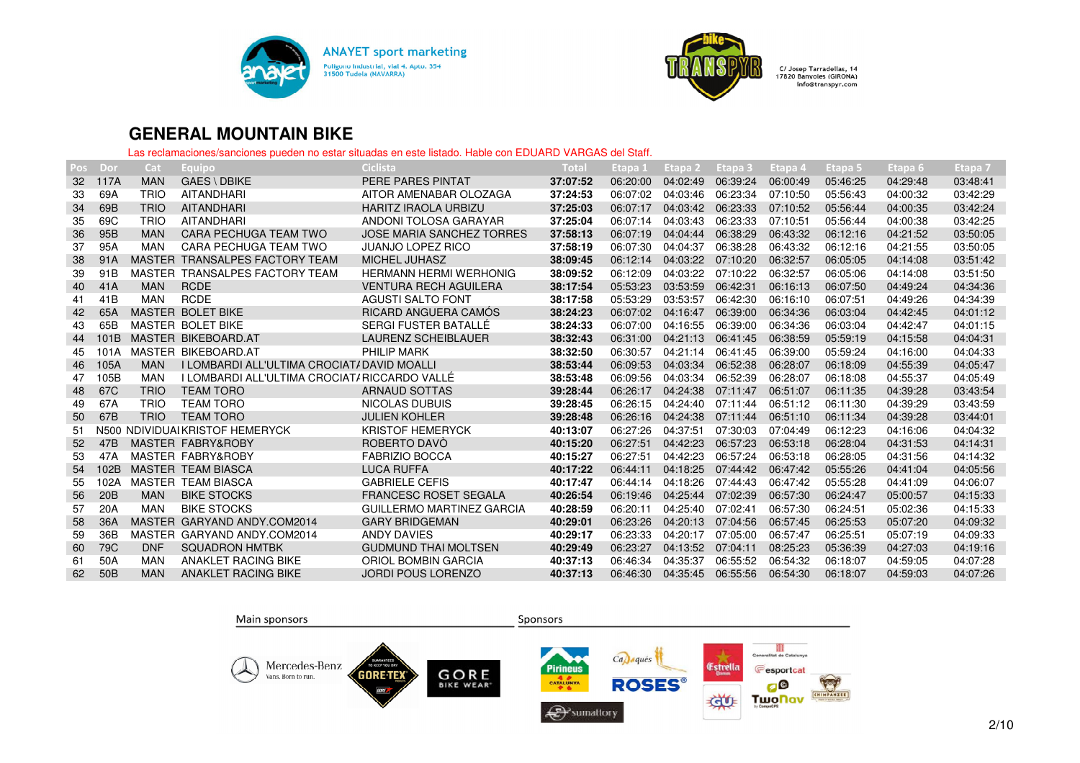



| Pos             | Dor             | Cat         | Equipo                                       | Ciclista                         | Total    | Etapa 1  | Etapa <sub>2</sub> | Etapa 3  | Etapa 4  | Etapa 5  | Etapa 6, | Etapa <sub>7</sub> |
|-----------------|-----------------|-------------|----------------------------------------------|----------------------------------|----------|----------|--------------------|----------|----------|----------|----------|--------------------|
| 32              | 117A            | <b>MAN</b>  | <b>GAES \DBIKE</b>                           | PERE PARES PINTAT                | 37:07:52 | 06:20:00 | 04:02:49           | 06:39:24 | 06:00:49 | 05:46:25 | 04:29:48 | 03:48:41           |
| 33              | 69A             | <b>TRIO</b> | AITANDHARI                                   | AITOR AMENABAR OLOZAGA           | 37:24:53 | 06:07:02 | 04:03:46           | 06:23:34 | 07:10:50 | 05:56:43 | 04:00:32 | 03:42:29           |
| 34              | 69B             | <b>TRIO</b> | <b>AITANDHARI</b>                            | <b>HARITZ IRAOLA URBIZU</b>      | 37:25:03 | 06:07:17 | 04:03:42           | 06:23:33 | 07:10:52 | 05:56:44 | 04:00:35 | 03:42:24           |
| 35              | 69C             | <b>TRIO</b> | <b>AITANDHARI</b>                            | ANDONI TOLOSA GARAYAR            | 37:25:04 | 06:07:14 | 04:03:43           | 06:23:33 | 07:10:51 | 05:56:44 | 04:00:38 | 03:42:25           |
| 36              | 95B             | <b>MAN</b>  | <b>CARA PECHUGA TEAM TWO</b>                 | <b>JOSE MARIA SANCHEZ TORRES</b> | 37:58:13 | 06:07:19 | 04:04:44           | 06:38:29 | 06:43:32 | 06:12:16 | 04:21:52 | 03:50:05           |
| 37              | 95A             | <b>MAN</b>  | CARA PECHUGA TEAM TWO                        | <b>JUANJO LOPEZ RICO</b>         | 37:58:19 | 06:07:30 | 04:04:37           | 06:38:28 | 06:43:32 | 06:12:16 | 04:21:55 | 03:50:05           |
| 38              | 91A             |             | MASTER TRANSALPES FACTORY TEAM               | <b>MICHEL JUHASZ</b>             | 38:09:45 | 06:12:14 | 04:03:22           | 07:10:20 | 06:32:57 | 06:05:05 | 04:14:08 | 03:51:42           |
| 39              | 91 <sub>B</sub> |             | MASTER TRANSALPES FACTORY TEAM               | <b>HERMANN HERMI WERHONIG</b>    | 38:09:52 | 06:12:09 | 04:03:22           | 07:10:22 | 06:32:57 | 06:05:06 | 04:14:08 | 03:51:50           |
| 40              | 41A             | <b>MAN</b>  | <b>RCDE</b>                                  | <b>VENTURA RECH AGUILERA</b>     | 38:17:54 | 05:53:23 | 03:53:59           | 06:42:31 | 06:16:13 | 06:07:50 | 04:49:24 | 04:34:36           |
| 41              | 41 <sub>B</sub> | <b>MAN</b>  | <b>RCDE</b>                                  | <b>AGUSTI SALTO FONT</b>         | 38:17:58 | 05:53:29 | 03:53:57           | 06:42:30 | 06:16:10 | 06:07:51 | 04:49:26 | 04:34:39           |
| 42              | 65A             |             | MASTER BOLET BIKE                            | RICARD ANGUERA CAMÓS             | 38:24:23 | 06:07:02 | 04:16:47           | 06:39:00 | 06:34:36 | 06:03:04 | 04:42:45 | 04:01:12           |
| 43              | 65B             |             | MASTER BOLET BIKE                            | SERGI FUSTER BATALLÉ             | 38:24:33 | 06:07:00 | 04:16:55           | 06:39:00 | 06:34:36 | 06:03:04 | 04:42:47 | 04:01:15           |
| 44              | 101B            |             | MASTER BIKEBOARD.AT                          | <b>LAURENZ SCHEIBLAUER</b>       | 38:32:43 | 06:31:00 | 04:21:13           | 06:41:45 | 06:38:59 | 05:59:19 | 04:15:58 | 04:04:31           |
| 45              | 101A            |             | MASTER BIKEBOARD.AT                          | <b>PHILIP MARK</b>               | 38:32:50 | 06:30:57 | 04:21:14           | 06:41:45 | 06:39:00 | 05:59:24 | 04:16:00 | 04:04:33           |
| 46              | 105A            | <b>MAN</b>  | I LOMBARDI ALL'ULTIMA CROCIAT/DAVID MOALLI   |                                  | 38:53:44 | 06:09:53 | 04:03:34           | 06:52:38 | 06:28:07 | 06:18:09 | 04:55:39 | 04:05:47           |
| 47              | 105B            | <b>MAN</b>  | I LOMBARDI ALL'ULTIMA CROCIAT/RICCARDO VALLÉ |                                  | 38:53:48 | 06:09:56 | 04:03:34           | 06:52:39 | 06:28:07 | 06:18:08 | 04:55:37 | 04:05:49           |
| 48              | 67C             | <b>TRIO</b> | <b>TEAM TORO</b>                             | ARNAUD SOTTAS                    | 39:28:44 | 06:26:17 | 04:24:38           | 07:11:47 | 06:51:07 | 06:11:35 | 04:39:28 | 03:43:54           |
| 49              | 67A             | <b>TRIO</b> | <b>TEAM TORO</b>                             | NICOLAS DUBUIS                   | 39:28:45 | 06:26:15 | 04:24:40           | 07:11:44 | 06:51:12 | 06:11:30 | 04:39:29 | 03:43:59           |
| 50              | 67B             | <b>TRIO</b> | <b>TEAM TORO</b>                             | <b>JULIEN KOHLER</b>             | 39:28:48 | 06:26:16 | 04:24:38           | 07:11:44 | 06:51:10 | 06:11:34 | 04:39:28 | 03:44:01           |
| 51              | N500            |             | NDIVIDUAI KRISTOF HEMERYCK                   | <b>KRISTOF HEMERYCK</b>          | 40:13:07 | 06:27:26 | 04:37:51           | 07:30:03 | 07:04:49 | 06:12:23 | 04:16:06 | 04:04:32           |
| 52 <sub>2</sub> | 47B             |             | <b>MASTER FABRY&amp;ROBY</b>                 | ROBERTO DAVO                     | 40:15:20 | 06:27:51 | 04:42:23           | 06:57:23 | 06:53:18 | 06:28:04 | 04:31:53 | 04:14:31           |
| 53              | 47A             |             | MASTER FABRY&ROBY                            | <b>FABRIZIO BOCCA</b>            | 40:15:27 | 06:27:51 | 04:42:23           | 06:57:24 | 06:53:18 | 06:28:05 | 04:31:56 | 04:14:32           |
| 54              | 102B            |             | MASTER TEAM BIASCA                           | <b>LUCA RUFFA</b>                | 40:17:22 | 06:44:11 | 04:18:25           | 07:44:42 | 06:47:42 | 05:55:26 | 04:41:04 | 04:05:56           |
| 55              | 102A            |             | <b>MASTER TEAM BIASCA</b>                    | <b>GABRIELE CEFIS</b>            | 40:17:47 | 06:44:14 | 04:18:26           | 07:44:43 | 06:47:42 | 05:55:28 | 04:41:09 | 04:06:07           |
| 56              | 20B             | <b>MAN</b>  | <b>BIKE STOCKS</b>                           | <b>FRANCESC ROSET SEGALA</b>     | 40:26:54 | 06:19:46 | 04:25:44           | 07:02:39 | 06:57:30 | 06:24:47 | 05:00:57 | 04:15:33           |
| 57              | 20A             | MAN         | <b>BIKE STOCKS</b>                           | GUILLERMO MARTINEZ GARCIA        | 40:28:59 | 06:20:11 | 04:25:40           | 07:02:41 | 06:57:30 | 06:24:51 | 05:02:36 | 04:15:33           |
| 58              | 36A             |             | MASTER GARYAND ANDY.COM2014                  | <b>GARY BRIDGEMAN</b>            | 40:29:01 | 06:23:26 | 04:20:13           | 07:04:56 | 06:57:45 | 06:25:53 | 05:07:20 | 04:09:32           |
| 59              | 36B             |             | MASTER GARYAND ANDY.COM2014                  | ANDY DAVIES                      | 40:29:17 | 06:23:33 | 04:20:17           | 07:05:00 | 06:57:47 | 06:25:51 | 05:07:19 | 04:09:33           |
| 60              | 79 <sub>C</sub> | <b>DNF</b>  | <b>SQUADRON HMTBK</b>                        | <b>GUDMUND THAI MOLTSEN</b>      | 40:29:49 | 06:23:27 | 04:13:52           | 07:04:11 | 08:25:23 | 05:36:39 | 04:27:03 | 04:19:16           |
| 61              | 50A             | <b>MAN</b>  | <b>ANAKLET RACING BIKE</b>                   | ORIOL BOMBIN GARCIA              | 40:37:13 | 06:46:34 | 04:35:37           | 06:55:52 | 06:54:32 | 06:18:07 | 04:59:05 | 04:07:28           |
| 62              | 50 <sub>B</sub> | <b>MAN</b>  | <b>ANAKLET RACING BIKE</b>                   | <b>JORDI POUS LORENZO</b>        | 40:37:13 | 06:46:30 | 04:35:45           | 06:55:56 | 06:54:30 | 06:18:07 | 04:59:03 | 04:07:26           |

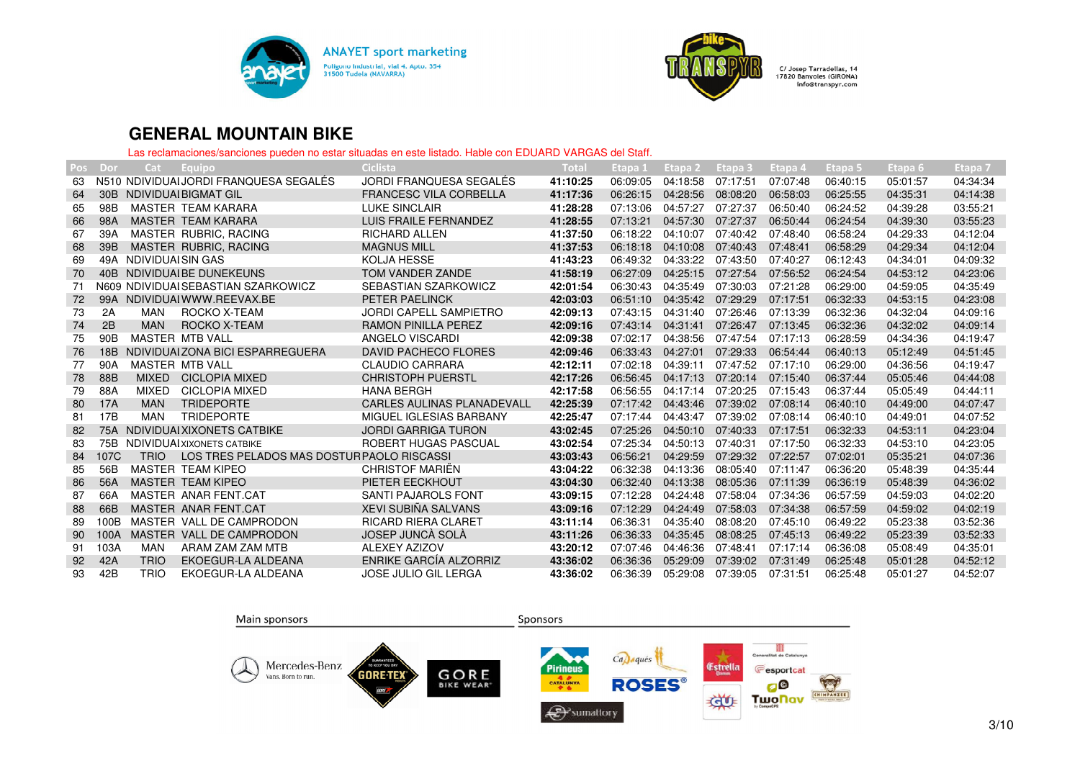



| Pos | Dor             | Cat                   | Equipo                                     | Ciclista                      | Total    | Etapa 1  | Etapa 2  | Etapa 3  | Etapa 4  | Etapa 5  | Etapa 6  | Etapa <sub>7</sub> |
|-----|-----------------|-----------------------|--------------------------------------------|-------------------------------|----------|----------|----------|----------|----------|----------|----------|--------------------|
| 63  |                 |                       | N510 NDIVIDUALJORDI FRANQUESA SEGALÉS      | JORDI FRANQUESA SEGALÉS       | 41:10:25 | 06:09:05 | 04:18:58 | 07:17:51 | 07:07:48 | 06:40:15 | 05:01:57 | 04:34:34           |
| 64  | 30B             |                       | NDIVIDUAI BIGMAT GIL                       | <b>FRANCESC VILA CORBELLA</b> | 41:17:36 | 06:26:15 | 04:28:56 | 08:08:20 | 06:58:03 | 06:25:55 | 04:35:31 | 04:14:38           |
| 65  | 98B             |                       | MASTER TEAM KARARA                         | <b>LUKE SINCLAIR</b>          | 41:28:28 | 07:13:06 | 04:57:27 | 07:27:37 | 06:50:40 | 06:24:52 | 04:39:28 | 03:55:21           |
| 66  | 98A             |                       | MASTER TEAM KARARA                         | LUIS FRAILE FERNANDEZ         | 41:28:55 | 07:13:21 | 04:57:30 | 07:27:37 | 06:50:44 | 06:24:54 | 04:39:30 | 03:55:23           |
| 67  | 39A             |                       | MASTER RUBRIC, RACING                      | <b>RICHARD ALLEN</b>          | 41:37:50 | 06:18:22 | 04:10:07 | 07:40:42 | 07:48:40 | 06:58:24 | 04:29:33 | 04:12:04           |
| 68  | 39B             |                       | MASTER RUBRIC, RACING                      | <b>MAGNUS MILL</b>            | 41:37:53 | 06:18:18 | 04:10:08 | 07:40:43 | 07:48:41 | 06:58:29 | 04:29:34 | 04:12:04           |
| 69  |                 | 49A NDIVIDUAI SIN GAS |                                            | <b>KOLJA HESSE</b>            | 41:43:23 | 06:49:32 | 04:33:22 | 07:43:50 | 07:40:27 | 06:12:43 | 04:34:01 | 04:09:32           |
| 70  |                 |                       | 40B NDIVIDUAL BE DUNEKEUNS                 | TOM VANDER ZANDE              | 41:58:19 | 06:27:09 | 04:25:15 | 07:27:54 | 07:56:52 | 06:24:54 | 04:53:12 | 04:23:06           |
| 71  |                 |                       | N609 NDIVIDUAI SEBASTIAN SZARKOWICZ        | SEBASTIAN SZARKOWICZ          | 42:01:54 | 06:30:43 | 04:35:49 | 07:30:03 | 07:21:28 | 06:29:00 | 04:59:05 | 04:35:49           |
| 72  | 99A             |                       | NDIVIDUAI WWW.REEVAX.BE                    | PETER PAELINCK                | 42:03:03 | 06:51:10 | 04:35:42 | 07:29:29 | 07:17:51 | 06:32:33 | 04:53:15 | 04:23:08           |
| 73  | 2A              | MAN                   | ROCKO X-TEAM                               | <b>JORDI CAPELL SAMPIETRO</b> | 42:09:13 | 07:43:15 | 04:31:40 | 07:26:46 | 07:13:39 | 06:32:36 | 04:32:04 | 04:09:16           |
| 74  | 2B              | <b>MAN</b>            | ROCKO X-TEAM                               | <b>RAMON PINILLA PEREZ</b>    | 42:09:16 | 07:43:14 | 04:31:41 | 07:26:47 | 07:13:45 | 06:32:36 | 04:32:02 | 04:09:14           |
| 75  | 90 <sub>B</sub> |                       | MASTER MTB VALL                            | ANGELO VISCARDI               | 42:09:38 | 07:02:17 | 04:38:56 | 07:47:54 | 07:17:13 | 06:28:59 | 04:34:36 | 04:19:47           |
| 76  | 18B             |                       | NDIVIDUAI ZONA BICI ESPARREGUERA           | <b>DAVID PACHECO FLORES</b>   | 42:09:46 | 06:33:43 | 04:27:01 | 07:29:33 | 06:54:44 | 06:40:13 | 05:12:49 | 04:51:45           |
| 77  | 90A             |                       | MASTER MTB VALL                            | <b>CLAUDIO CARRARA</b>        | 42:12:11 | 07:02:18 | 04:39:11 | 07:47:52 | 07:17:10 | 06:29:00 | 04:36:56 | 04:19:47           |
| 78  | 88B             | <b>MIXED</b>          | <b>CICLOPIA MIXED</b>                      | <b>CHRISTOPH PUERSTL</b>      | 42:17:26 | 06:56:45 | 04:17:13 | 07:20:14 | 07:15:40 | 06:37:44 | 05:05:46 | 04:44:08           |
| 79  | 88A             | MIXED                 | CICLOPIA MIXED                             | <b>HANA BERGH</b>             | 42:17:58 | 06:56:55 | 04:17:14 | 07:20:25 | 07:15:43 | 06:37:44 | 05:05:49 | 04:44:11           |
| 80  | 17A             | <b>MAN</b>            | <b>TRIDEPORTE</b>                          | CARLES AULINAS PLANADEVALL    | 42:25:39 | 07:17:42 | 04:43:46 | 07:39:02 | 07:08:14 | 06:40:10 | 04:49:00 | 04:07:47           |
| 81  | 17B             | <b>MAN</b>            | <b>TRIDEPORTE</b>                          | MIGUEL IGLESIAS BARBANY       | 42:25:47 | 07:17:44 | 04:43:47 | 07:39:02 | 07:08:14 | 06:40:10 | 04:49:01 | 04:07:52           |
| 82  | 75A             |                       | NDIVIDUALXIXONETS CATBIKE                  | <b>JORDI GARRIGA TURON</b>    | 43:02:45 | 07:25:26 | 04:50:10 | 07:40:33 | 07:17:51 | 06:32:33 | 04:53:11 | 04:23:04           |
| 83  |                 |                       | 75B NDIVIDUAI XIXONETS CATBIKE             | ROBERT HUGAS PASCUAL          | 43:02:54 | 07:25:34 | 04:50:13 | 07:40:31 | 07:17:50 | 06:32:33 | 04:53:10 | 04:23:05           |
| 84  | 107C            | <b>TRIO</b>           | LOS TRES PELADOS MAS DOSTUR PAOLO RISCASSI |                               | 43:03:43 | 06:56:21 | 04:29:59 | 07:29:32 | 07:22:57 | 07:02:01 | 05:35:21 | 04:07:36           |
| 85  | 56B             |                       | MASTER TEAM KIPEO                          | <b>CHRISTOF MARIEN</b>        | 43:04:22 | 06:32:38 | 04:13:36 | 08:05:40 | 07:11:47 | 06:36:20 | 05:48:39 | 04:35:44           |
| 86  | 56A             |                       | MASTER TEAM KIPEO                          | PIETER EECKHOUT               | 43:04:30 | 06:32:40 | 04:13:38 | 08:05:36 | 07:11:39 | 06:36:19 | 05:48:39 | 04:36:02           |
| 87  | 66A             |                       | MASTER ANAR FENT.CAT                       | SANTI PAJAROLS FONT           | 43:09:15 | 07:12:28 | 04:24:48 | 07:58:04 | 07:34:36 | 06:57:59 | 04:59:03 | 04:02:20           |
| 88  | 66B             |                       | MASTER ANAR FENT.CAT                       | <b>XEVI SUBIÑA SALVANS</b>    | 43:09:16 | 07:12:29 | 04:24:49 | 07:58:03 | 07:34:38 | 06:57:59 | 04:59:02 | 04:02:19           |
| 89  | 100B            |                       | MASTER VALL DE CAMPRODON                   | <b>RICARD RIERA CLARET</b>    | 43:11:14 | 06:36:31 | 04:35:40 | 08:08:20 | 07:45:10 | 06:49:22 | 05:23:38 | 03:52:36           |
| 90  | 100A            |                       | MASTER VALL DE CAMPRODON                   | JOSEP JUNCÀ SOLÀ              | 43:11:26 | 06:36:33 | 04:35:45 | 08:08:25 | 07:45:13 | 06:49:22 | 05:23:39 | 03:52:33           |
| 91  | 103A            | MAN                   | ARAM ZAM ZAM MTB                           | ALEXEY AZIZOV                 | 43:20:12 | 07:07:46 | 04:46:36 | 07:48:41 | 07:17:14 | 06:36:08 | 05:08:49 | 04:35:01           |
| 92  | 42A             | <b>TRIO</b>           | EKOEGUR-LA ALDEANA                         | <b>ENRIKE GARCÍA ALZORRIZ</b> | 43:36:02 | 06:36:36 | 05:29:09 | 07:39:02 | 07:31:49 | 06:25:48 | 05:01:28 | 04:52:12           |
| 93  | 42B             | <b>TRIO</b>           | EKOEGUR-LA ALDEANA                         | <b>JOSE JULIO GIL LERGA</b>   | 43:36:02 | 06:36:39 | 05:29:08 | 07:39:05 | 07:31:51 | 06:25:48 | 05:01:27 | 04:52:07           |

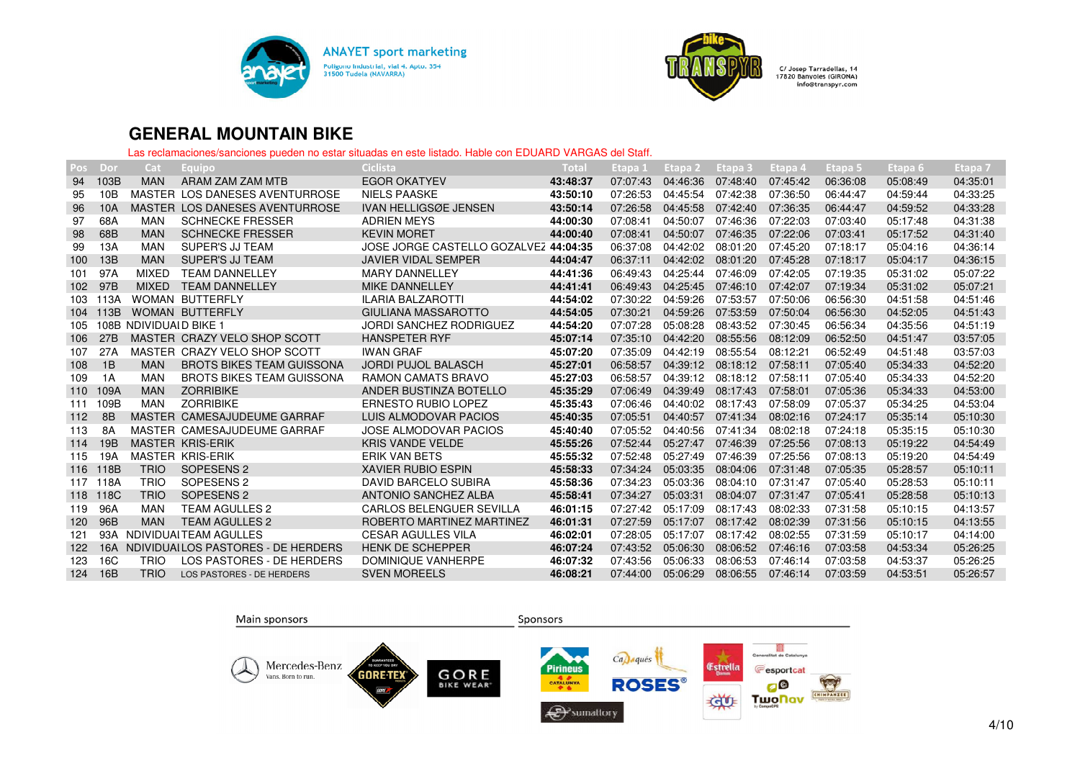



| Pos | Dor             | Cat                    | Equipo                                 | <b>Ciclista</b>                       | Total    | Etapa 1  | Etapa <sub>2</sub> | Etapa 3  | Etapa 4  | Etapa 5  | Etapa 6  | Etapa 7  |
|-----|-----------------|------------------------|----------------------------------------|---------------------------------------|----------|----------|--------------------|----------|----------|----------|----------|----------|
| 94  | 103B            | <b>MAN</b>             | ARAM ZAM ZAM MTB                       | <b>EGOR OKATYEV</b>                   | 43:48:37 | 07:07:43 | 04:46:36           | 07:48:40 | 07:45:42 | 06:36:08 | 05:08:49 | 04:35:01 |
| 95  | 10B             |                        | MASTER LOS DANESES AVENTURROSE         | <b>NIELS PAASKE</b>                   | 43:50:10 | 07:26:53 | 04:45:54           | 07:42:38 | 07:36:50 | 06:44:47 | 04:59:44 | 04:33:25 |
| 96  | 10A             |                        | MASTER LOS DANESES AVENTURROSE         | <b>IVAN HELLIGSØE JENSEN</b>          | 43:50:14 | 07:26:58 | 04:45:58           | 07:42:40 | 07:36:35 | 06:44:47 | 04:59:52 | 04:33:28 |
| 97  | 68A             | <b>MAN</b>             | <b>SCHNECKE FRESSER</b>                | <b>ADRIEN MEYS</b>                    | 44:00:30 | 07:08:41 | 04:50:07           | 07:46:36 | 07:22:03 | 07:03:40 | 05:17:48 | 04:31:38 |
| 98  | 68B             | <b>MAN</b>             | <b>SCHNECKE FRESSER</b>                | <b>KEVIN MORET</b>                    | 44:00:40 | 07:08:41 | 04:50:07           | 07:46:35 | 07:22:06 | 07:03:41 | 05:17:52 | 04:31:40 |
| 99  | 13A             | <b>MAN</b>             | SUPER'S JJ TEAM                        | JOSE JORGE CASTELLO GOZALVEZ 44:04:35 |          | 06:37:08 | 04:42:02           | 08:01:20 | 07:45:20 | 07:18:17 | 05:04:16 | 04:36:14 |
| 100 | 13B             | <b>MAN</b>             | <b>SUPER'S JJ TEAM</b>                 | <b>JAVIER VIDAL SEMPER</b>            | 44:04:47 | 06:37:11 | 04:42:02           | 08:01:20 | 07:45:28 | 07:18:17 | 05:04:17 | 04:36:15 |
| 101 | 97A             | <b>MIXED</b>           | <b>TEAM DANNELLEY</b>                  | <b>MARY DANNELLEY</b>                 | 44:41:36 | 06:49:43 | 04:25:44           | 07:46:09 | 07:42:05 | 07:19:35 | 05:31:02 | 05:07:22 |
| 102 | 97 <sub>B</sub> | <b>MIXED</b>           | <b>TEAM DANNELLEY</b>                  | <b>MIKE DANNELLEY</b>                 | 44:41:41 | 06:49:43 | 04:25:45           | 07:46:10 | 07:42:07 | 07:19:34 | 05:31:02 | 05:07:21 |
| 103 | 113A            |                        | <b>WOMAN BUTTERFLY</b>                 | <b>ILARIA BALZAROTTI</b>              | 44:54:02 | 07:30:22 | 04:59:26           | 07:53:57 | 07:50:06 | 06:56:30 | 04:51:58 | 04:51:46 |
| 104 | 113B            |                        | <b>WOMAN BUTTERFLY</b>                 | GIULIANA MASSAROTTO                   | 44:54:05 | 07:30:21 | 04:59:26           | 07:53:59 | 07:50:04 | 06:56:30 | 04:52:05 | 04:51:43 |
| 105 |                 | 108B NDIVIDUAID BIKE 1 |                                        | <b>JORDI SANCHEZ RODRIGUEZ</b>        | 44:54:20 | 07:07:28 | 05:08:28           | 08:43:52 | 07:30:45 | 06:56:34 | 04:35:56 | 04:51:19 |
| 106 | 27B             |                        | MASTER CRAZY VELO SHOP SCOTT           | <b>HANSPETER RYF</b>                  | 45:07:14 | 07:35:10 | 04:42:20           | 08:55:56 | 08:12:09 | 06:52:50 | 04:51:47 | 03:57:05 |
| 107 | 27A             |                        | MASTER CRAZY VELO SHOP SCOTT           | <b>IWAN GRAF</b>                      | 45:07:20 | 07:35:09 | 04:42:19           | 08:55:54 | 08:12:21 | 06:52:49 | 04:51:48 | 03:57:03 |
| 108 | 1B              | <b>MAN</b>             | <b>BROTS BIKES TEAM GUISSONA</b>       | <b>JORDI PUJOL BALASCH</b>            | 45:27:01 | 06:58:57 | 04:39:12           | 08:18:12 | 07:58:11 | 07:05:40 | 05:34:33 | 04:52:20 |
| 109 | 1A              | <b>MAN</b>             | <b>BROTS BIKES TEAM GUISSONA</b>       | <b>RAMON CAMATS BRAVO</b>             | 45:27:03 | 06:58:57 | 04:39:12           | 08:18:12 | 07:58:11 | 07:05:40 | 05:34:33 | 04:52:20 |
| 110 | 109A            | <b>MAN</b>             | <b>ZORRIBIKE</b>                       | ANDER BUSTINZA BOTELLO                | 45:35:29 | 07:06:49 | 04:39:49           | 08:17:43 | 07:58:01 | 07:05:36 | 05:34:33 | 04:53:00 |
| 111 | 109B            | <b>MAN</b>             | <b>ZORRIBIKE</b>                       | <b>ERNESTO RUBIO LOPEZ</b>            | 45:35:43 | 07:06:46 | 04:40:02           | 08:17:43 | 07:58:09 | 07:05:37 | 05:34:25 | 04:53:04 |
| 112 | 8B              |                        | MASTER CAMESAJUDEUME GARRAF            | LUIS ALMODOVAR PACIOS                 | 45:40:35 | 07:05:51 | 04:40:57           | 07:41:34 | 08:02:16 | 07:24:17 | 05:35:14 | 05:10:30 |
| 113 | <b>8A</b>       |                        | MASTER CAMESAJUDEUME GARRAF            | JOSE ALMODOVAR PACIOS                 | 45:40:40 | 07:05:52 | 04:40:56           | 07:41:34 | 08:02:18 | 07:24:18 | 05:35:15 | 05:10:30 |
| 114 | 19B             |                        | <b>MASTER KRIS-ERIK</b>                | <b>KRIS VANDE VELDE</b>               | 45:55:26 | 07:52:44 | 05:27:47           | 07:46:39 | 07:25:56 | 07:08:13 | 05:19:22 | 04:54:49 |
| 115 | 19A             |                        | <b>MASTER KRIS-ERIK</b>                | <b>ERIK VAN BETS</b>                  | 45:55:32 | 07:52:48 | 05:27:49           | 07:46:39 | 07:25:56 | 07:08:13 | 05:19:20 | 04:54:49 |
| 116 | 118B            | <b>TRIO</b>            | SOPESENS <sub>2</sub>                  | <b>XAVIER RUBIO ESPIN</b>             | 45:58:33 | 07:34:24 | 05:03:35           | 08:04:06 | 07:31:48 | 07:05:35 | 05:28:57 | 05:10:11 |
| 117 | 118A            | <b>TRIO</b>            | SOPESENS <sub>2</sub>                  | <b>DAVID BARCELO SUBIRA</b>           | 45:58:36 | 07:34:23 | 05:03:36           | 08:04:10 | 07:31:47 | 07:05:40 | 05:28:53 | 05:10:11 |
| 118 | 118C            | <b>TRIO</b>            | SOPESENS <sub>2</sub>                  | ANTONIO SANCHEZ ALBA                  | 45:58:41 | 07:34:27 | 05:03:31           | 08:04:07 | 07:31:47 | 07:05:41 | 05:28:58 | 05:10:13 |
| 119 | 96A             | <b>MAN</b>             | <b>TEAM AGULLES 2</b>                  | <b>CARLOS BELENGUER SEVILLA</b>       | 46:01:15 | 07:27:42 | 05:17:09           | 08:17:43 | 08:02:33 | 07:31:58 | 05:10:15 | 04:13:57 |
| 120 | 96B             | <b>MAN</b>             | <b>TEAM AGULLES 2</b>                  | ROBERTO MARTINEZ MARTINEZ             | 46:01:31 | 07:27:59 | 05:17:07           | 08:17:42 | 08:02:39 | 07:31:56 | 05:10:15 | 04:13:55 |
| 121 | 93A             |                        | NDIVIDUAI TEAM AGULLES                 | <b>CESAR AGULLES VILA</b>             | 46:02:01 | 07:28:05 | 05:17:07           | 08:17:42 | 08:02:55 | 07:31:59 | 05:10:17 | 04:14:00 |
| 122 |                 |                        | 16A NDIVIDUAILOS PASTORES - DE HERDERS | <b>HENK DE SCHEPPER</b>               | 46:07:24 | 07:43:52 | 05:06:30           | 08:06:52 | 07:46:16 | 07:03:58 | 04:53:34 | 05:26:25 |
| 123 | 16C             | <b>TRIO</b>            | LOS PASTORES - DE HERDERS              | DOMINIQUE VANHERPE                    | 46:07:32 | 07:43:56 | 05:06:33           | 08:06:53 | 07:46:14 | 07:03:58 | 04:53:37 | 05:26:25 |
| 124 | 16B             | <b>TRIO</b>            | LOS PASTORES - DE HERDERS              | <b>SVEN MOREELS</b>                   | 46:08:21 | 07:44:00 | 05:06:29           | 08:06:55 | 07:46:14 | 07:03:59 | 04:53:51 | 05:26:57 |
|     |                 |                        |                                        |                                       |          |          |                    |          |          |          |          |          |

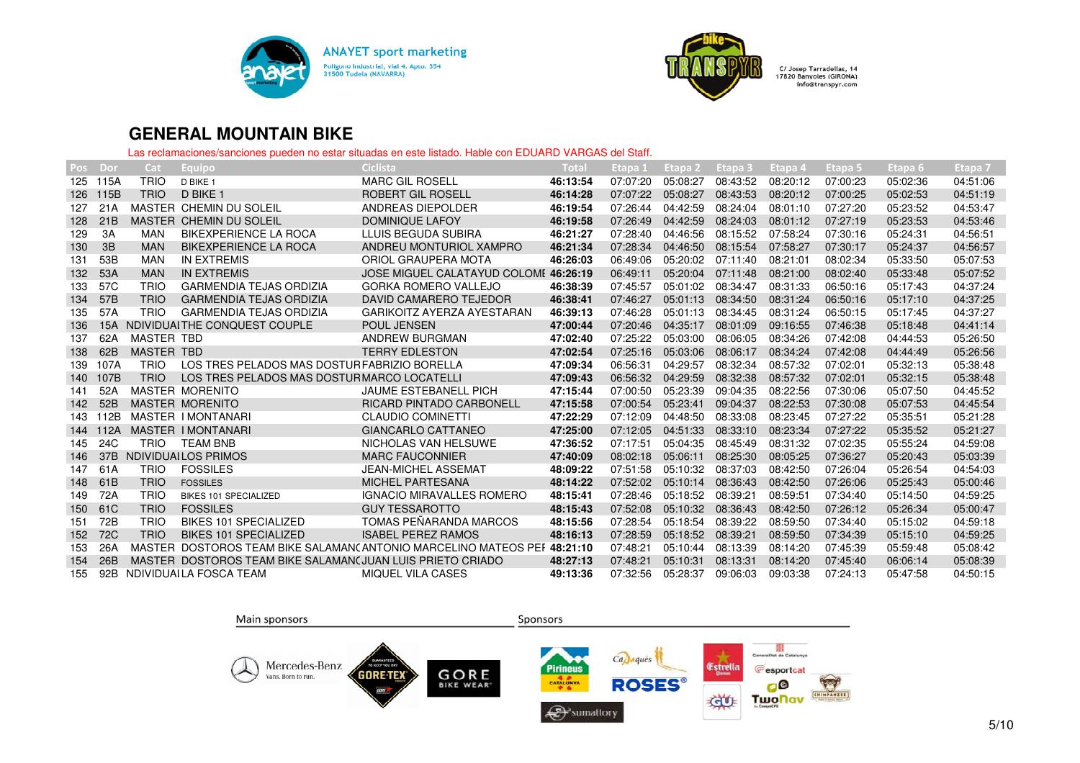



| Pos | Dor             | Cat               | Equipo,                                                   | Ciclista                                                                | Total    | Etapa 1  | Etapa 2  | Etapa 3  | Etapa 4  | Etapa 5  | Etapa 6  | Etapa 7  |
|-----|-----------------|-------------------|-----------------------------------------------------------|-------------------------------------------------------------------------|----------|----------|----------|----------|----------|----------|----------|----------|
| 125 | 115A            | <b>TRIO</b>       | D BIKE 1                                                  | <b>MARC GIL ROSELL</b>                                                  | 46:13:54 | 07:07:20 | 05:08:27 | 08:43:52 | 08:20:12 | 07:00:23 | 05:02:36 | 04:51:06 |
| 126 | 115B            | <b>TRIO</b>       | D BIKE 1                                                  | <b>ROBERT GIL ROSELL</b>                                                | 46:14:28 | 07:07:22 | 05:08:27 | 08:43:53 | 08:20:12 | 07:00:25 | 05:02:53 | 04:51:19 |
| 127 | 21A             |                   | MASTER CHEMIN DU SOLEIL                                   | ANDREAS DIEPOLDER                                                       | 46:19:54 | 07:26:44 | 04:42:59 | 08:24:04 | 08:01:10 | 07:27:20 | 05:23:52 | 04:53:47 |
| 128 | 21B             |                   | MASTER CHEMIN DU SOLEIL                                   | <b>DOMINIQUE LAFOY</b>                                                  | 46:19:58 | 07:26:49 | 04:42:59 | 08:24:03 | 08:01:12 | 07:27:19 | 05:23:53 | 04:53:46 |
| 129 | 3A              | MAN               | <b>BIKEXPERIENCE LA ROCA</b>                              | LLUIS BEGUDA SUBIRA                                                     | 46:21:27 | 07:28:40 | 04:46:56 | 08:15:52 | 07:58:24 | 07:30:16 | 05:24:31 | 04:56:51 |
| 130 | 3B              | <b>MAN</b>        | BIKEXPERIENCE LA ROCA                                     | ANDREU MONTURIOL XAMPRO                                                 | 46:21:34 | 07:28:34 | 04:46:50 | 08:15:54 | 07:58:27 | 07:30:17 | 05:24:37 | 04:56:57 |
| 131 | 53B             | <b>MAN</b>        | IN EXTREMIS                                               | ORIOL GRAUPERA MOTA                                                     | 46:26:03 | 06:49:06 | 05:20:02 | 07:11:40 | 08:21:01 | 08:02:34 | 05:33:50 | 05:07:53 |
| 132 | 53A             | <b>MAN</b>        | <b>IN EXTREMIS</b>                                        | JOSE MIGUEL CALATAYUD COLOME 46:26:19                                   |          | 06:49:11 | 05:20:04 | 07:11:48 | 08:21:00 | 08:02:40 | 05:33:48 | 05:07:52 |
| 133 | 57C             | <b>TRIO</b>       | <b>GARMENDIA TEJAS ORDIZIA</b>                            | <b>GORKA ROMERO VALLEJO</b>                                             | 46:38:39 | 07:45:57 | 05:01:02 | 08:34:47 | 08:31:33 | 06:50:16 | 05:17:43 | 04:37:24 |
| 134 | 57B             | <b>TRIO</b>       | <b>GARMENDIA TEJAS ORDIZIA</b>                            | DAVID CAMARERO TEJEDOR                                                  | 46:38:41 | 07:46:27 | 05:01:13 | 08:34:50 | 08:31:24 | 06:50:16 | 05:17:10 | 04:37:25 |
| 135 | 57A             | <b>TRIO</b>       | <b>GARMENDIA TEJAS ORDIZIA</b>                            | GARIKOITZ AYERZA AYESTARAN                                              | 46:39:13 | 07:46:28 | 05:01:13 | 08:34:45 | 08:31:24 | 06:50:15 | 05:17:45 | 04:37:27 |
| 136 | 15A             |                   | NDIVIDUALTHE CONQUEST COUPLE                              | <b>POUL JENSEN</b>                                                      | 47:00:44 | 07:20:46 | 04:35:17 | 08:01:09 | 09:16:55 | 07:46:38 | 05:18:48 | 04:41:14 |
| 137 | 62A             | <b>MASTER TBD</b> |                                                           | ANDREW BURGMAN                                                          | 47:02:40 | 07:25:22 | 05:03:00 | 08:06:05 | 08:34:26 | 07:42:08 | 04:44:53 | 05:26:50 |
| 138 | 62B             | <b>MASTER TBD</b> |                                                           | <b>TERRY EDLESTON</b>                                                   | 47:02:54 | 07:25:16 | 05:03:06 | 08:06:17 | 08:34:24 | 07:42:08 | 04:44:49 | 05:26:56 |
| 139 | 107A            | <b>TRIO</b>       | LOS TRES PELADOS MAS DOSTUR FABRIZIO BORELLA              |                                                                         | 47:09:34 | 06:56:31 | 04:29:57 | 08:32:34 | 08:57:32 | 07:02:01 | 05:32:13 | 05:38:48 |
| 140 | 107B            | <b>TRIO</b>       | LOS TRES PELADOS MAS DOSTURMARCO LOCATELLI                |                                                                         | 47:09:43 | 06:56:32 | 04:29:59 | 08:32:38 | 08:57:32 | 07:02:01 | 05:32:15 | 05:38:48 |
| 141 | 52A             |                   | <b>MASTER MORENITO</b>                                    | <b>JAUME ESTEBANELL PICH</b>                                            | 47:15:44 | 07:00:50 | 05:23:39 | 09:04:35 | 08:22:56 | 07:30:06 | 05:07:50 | 04:45:52 |
| 142 | 52B             |                   | <b>MASTER MORENITO</b>                                    | <b>RICARD PINTADO CARBONELL</b>                                         | 47:15:58 | 07:00:54 | 05:23:41 | 09:04:37 | 08:22:53 | 07:30:08 | 05:07:53 | 04:45:54 |
| 143 | 112B            |                   | MASTER I MONTANARI                                        | <b>CLAUDIO COMINETTI</b>                                                | 47:22:29 | 07:12:09 | 04:48:50 | 08:33:08 | 08:23:45 | 07:27:22 | 05:35:51 | 05:21:28 |
| 144 | 112A            |                   | <b>MASTER I MONTANARI</b>                                 | <b>GIANCARLO CATTANEO</b>                                               | 47:25:00 | 07:12:05 | 04:51:33 | 08:33:10 | 08:23:34 | 07:27:22 | 05:35:52 | 05:21:27 |
| 145 | 24C             | <b>TRIO</b>       | <b>TEAM BNB</b>                                           | NICHOLAS VAN HELSUWE                                                    | 47:36:52 | 07:17:51 | 05:04:35 | 08:45:49 | 08:31:32 | 07:02:35 | 05:55:24 | 04:59:08 |
| 146 | 37 <sub>B</sub> |                   | NDIVIDUALLOS PRIMOS                                       | <b>MARC FAUCONNIER</b>                                                  | 47:40:09 | 08:02:18 | 05:06:11 | 08:25:30 | 08:05:25 | 07:36:27 | 05:20:43 | 05:03:39 |
| 147 | 61A             | <b>TRIO</b>       | <b>FOSSILES</b>                                           | <b>JEAN-MICHEL ASSEMAT</b>                                              | 48:09:22 | 07:51:58 | 05:10:32 | 08:37:03 | 08:42:50 | 07:26:04 | 05:26:54 | 04:54:03 |
| 148 | 61B             | <b>TRIO</b>       | <b>FOSSILES</b>                                           | <b>MICHEL PARTESANA</b>                                                 | 48:14:22 | 07:52:02 | 05:10:14 | 08:36:43 | 08:42:50 | 07:26:06 | 05:25:43 | 05:00:46 |
| 149 | 72A             | <b>TRIO</b>       | <b>BIKES 101 SPECIALIZED</b>                              | <b>IGNACIO MIRAVALLES ROMERO</b>                                        | 48:15:41 | 07:28:46 | 05:18:52 | 08:39:21 | 08:59:51 | 07:34:40 | 05:14:50 | 04:59:25 |
| 150 | 61C             | <b>TRIO</b>       | <b>FOSSILES</b>                                           | <b>GUY TESSAROTTO</b>                                                   | 48:15:43 | 07:52:08 | 05:10:32 | 08:36:43 | 08:42:50 | 07:26:12 | 05:26:34 | 05:00:47 |
| 151 | 72B             | <b>TRIO</b>       | <b>BIKES 101 SPECIALIZED</b>                              | TOMAS PEÑARANDA MARCOS                                                  | 48:15:56 | 07:28:54 | 05:18:54 | 08:39:22 | 08:59:50 | 07:34:40 | 05:15:02 | 04:59:18 |
| 152 | 72C             | <b>TRIO</b>       | <b>BIKES 101 SPECIALIZED</b>                              | <b>ISABEL PEREZ RAMOS</b>                                               | 48:16:13 | 07:28:59 | 05:18:52 | 08:39:21 | 08:59:50 | 07:34:39 | 05:15:10 | 04:59:25 |
| 153 | 26A             |                   |                                                           | MASTER DOSTOROS TEAM BIKE SALAMAN(ANTONIO MARCELINO MATEOS PEF 48:21:10 |          | 07:48:21 | 05:10:44 | 08:13:39 | 08:14:20 | 07:45:39 | 05:59:48 | 05:08:42 |
| 154 | 26B             |                   | MASTER DOSTOROS TEAM BIKE SALAMAN(JUAN LUIS PRIETO CRIADO |                                                                         | 48:27:13 | 07:48:21 | 05:10:31 | 08:13:31 | 08:14:20 | 07:45:40 | 06:06:14 | 05:08:39 |
| 155 | 92B             |                   | NDIVIDUAILA FOSCA TEAM                                    | <b>MIQUEL VILA CASES</b>                                                | 49:13:36 | 07:32:56 | 05:28:37 | 09:06:03 | 09:03:38 | 07:24:13 | 05:47:58 | 04:50:15 |
|     |                 |                   |                                                           |                                                                         |          |          |          |          |          |          |          |          |

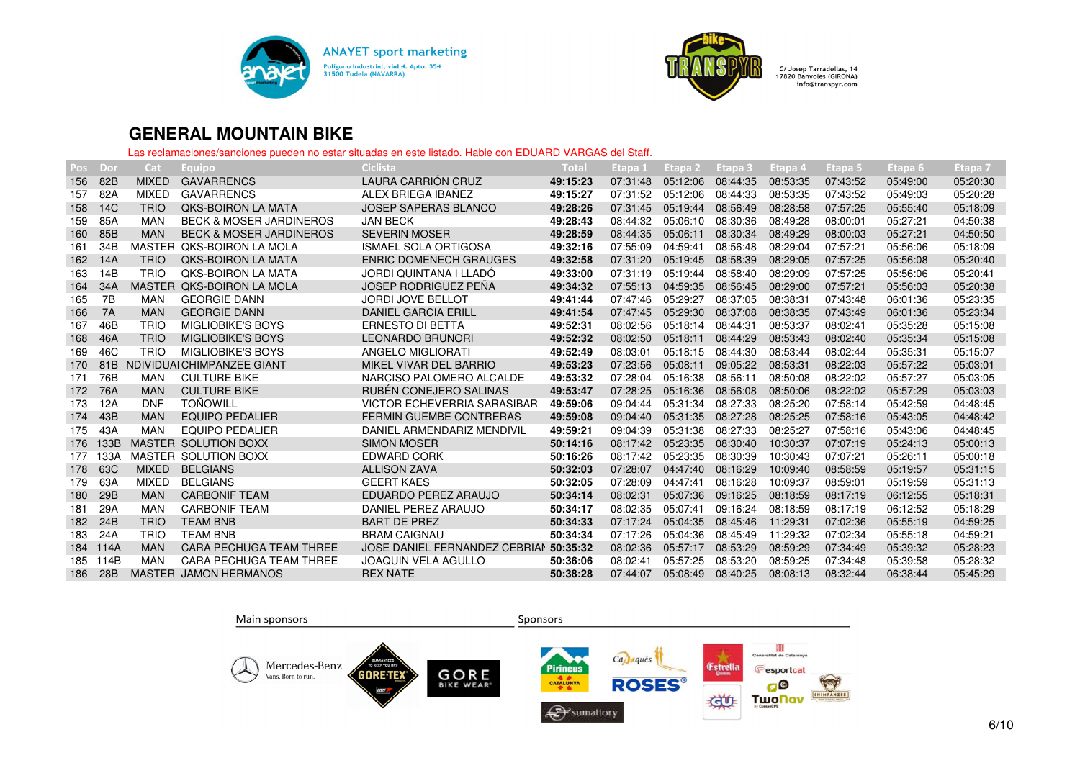



| Pos | Dor       | Cat           | Equipo                             | Ciclista                               | Tota     | Etapa 1  | Etapa <sub>2</sub> | Etapa 3  | Etapa 4  | Etapa 5  | Etapa 6  | Etapa 7  |
|-----|-----------|---------------|------------------------------------|----------------------------------------|----------|----------|--------------------|----------|----------|----------|----------|----------|
| 156 | 82B       | <b>MIXED</b>  | <b>GAVARRENCS</b>                  | LAURA CARRIÓN CRUZ                     | 49:15:23 | 07:31:48 | 05:12:06           | 08:44:35 | 08:53:35 | 07:43:52 | 05:49:00 | 05:20:30 |
| 157 | 82A       | <b>MIXED</b>  | <b>GAVARRENCS</b>                  | ALEX BRIEGA IBAÑEZ                     | 49:15:27 | 07:31:52 | 05:12:06           | 08:44:33 | 08:53:35 | 07:43:52 | 05:49:03 | 05:20:28 |
| 158 | 14C       | <b>TRIO</b>   | <b>QKS-BOIRON LA MATA</b>          | <b>JOSEP SAPERAS BLANCO</b>            | 49:28:26 | 07:31:45 | 05:19:44           | 08:56:49 | 08:28:58 | 07:57:25 | 05:55:40 | 05:18:09 |
| 159 | 85A       | <b>MAN</b>    | <b>BECK &amp; MOSER JARDINEROS</b> | <b>JAN BECK</b>                        | 49:28:43 | 08:44:32 | 05:06:10           | 08:30:36 | 08:49:28 | 08:00:01 | 05:27:21 | 04:50:38 |
| 160 | 85B       | <b>MAN</b>    | <b>BECK &amp; MOSER JARDINEROS</b> | <b>SEVERIN MOSER</b>                   | 49:28:59 | 08:44:35 | 05:06:11           | 08:30:34 | 08:49:29 | 08:00:03 | 05:27:21 | 04:50:50 |
| 161 | 34B       |               | MASTER OKS-BOIRON LA MOLA          | <b>ISMAEL SOLA ORTIGOSA</b>            | 49:32:16 | 07:55:09 | 04:59:41           | 08:56:48 | 08:29:04 | 07:57:21 | 05:56:06 | 05:18:09 |
| 162 | 14A       | <b>TRIO</b>   | <b>QKS-BOIRON LA MATA</b>          | <b>ENRIC DOMENECH GRAUGES</b>          | 49:32:58 | 07:31:20 | 05:19:45           | 08:58:39 | 08:29:05 | 07:57:25 | 05:56:08 | 05:20:40 |
| 163 | 14B       | <b>TRIO</b>   | <b>QKS-BOIRON LA MATA</b>          | JORDI QUINTANA I LLADO                 | 49:33:00 | 07:31:19 | 05:19:44           | 08:58:40 | 08:29:09 | 07:57:25 | 05:56:06 | 05:20:41 |
| 164 | 34A       | <b>MASTER</b> | <b>QKS-BOIRON LA MOLA</b>          | <b>JOSEP RODRIGUEZ PEÑA</b>            | 49:34:32 | 07:55:13 | 04:59:35           | 08:56:45 | 08:29:00 | 07:57:21 | 05:56:03 | 05:20:38 |
| 165 | 7B        | MAN           | <b>GEORGIE DANN</b>                | <b>JORDI JOVE BELLOT</b>               | 49:41:44 | 07:47:46 | 05:29:27           | 08:37:05 | 08:38:31 | 07:43:48 | 06:01:36 | 05:23:35 |
| 166 | <b>7A</b> | <b>MAN</b>    | <b>GEORGIE DANN</b>                | <b>DANIEL GARCIA ERILL</b>             | 49:41:54 | 07:47:45 | 05:29:30           | 08:37:08 | 08:38:35 | 07:43:49 | 06:01:36 | 05:23:34 |
| 167 | 46B       | <b>TRIO</b>   | <b>MIGLIOBIKE'S BOYS</b>           | <b>ERNESTO DI BETTA</b>                | 49:52:31 | 08:02:56 | 05:18:14           | 08:44:31 | 08:53:37 | 08:02:41 | 05:35:28 | 05:15:08 |
| 168 | 46A       | <b>TRIO</b>   | <b>MIGLIOBIKE'S BOYS</b>           | <b>LEONARDO BRUNORI</b>                | 49:52:32 | 08:02:50 | 05:18:11           | 08:44:29 | 08:53:43 | 08:02:40 | 05:35:34 | 05:15:08 |
| 169 | 46C       | <b>TRIO</b>   | <b>MIGLIOBIKE'S BOYS</b>           | ANGELO MIGLIORATI                      | 49:52:49 | 08:03:01 | 05:18:15           | 08:44:30 | 08:53:44 | 08:02:44 | 05:35:31 | 05:15:07 |
| 170 | 81B       |               | NDIVIDUALCHIMPANZEE GIANT          | MIKEL VIVAR DEL BARRIO                 | 49:53:23 | 07:23:56 | 05:08:11           | 09:05:22 | 08:53:31 | 08:22:03 | 05:57:22 | 05:03:01 |
| 171 | 76B       | <b>MAN</b>    | <b>CULTURE BIKE</b>                | NARCISO PALOMERO ALCALDE               | 49:53:32 | 07:28:04 | 05:16:38           | 08:56:11 | 08:50:08 | 08:22:02 | 05:57:27 | 05:03:05 |
| 172 | 76A       | <b>MAN</b>    | <b>CULTURE BIKE</b>                | RUBÉN CONEJERO SALINAS                 | 49:53:47 | 07:28:25 | 05:16:36           | 08:56:08 | 08:50:06 | 08:22:02 | 05:57:29 | 05:03:03 |
| 173 | 12A       | <b>DNF</b>    | <b>TOÑOWILL</b>                    | VICTOR ECHEVERRIA SARASIBAR            | 49:59:06 | 09:04:44 | 05:31:34           | 08:27:33 | 08:25:20 | 07:58:14 | 05:42:59 | 04:48:45 |
| 174 | 43B       | <b>MAN</b>    | <b>EQUIPO PEDALIER</b>             | <b>FERMIN GUEMBE CONTRERAS</b>         | 49:59:08 | 09:04:40 | 05:31:35           | 08:27:28 | 08:25:25 | 07:58:16 | 05:43:05 | 04:48:42 |
| 175 | 43A       | <b>MAN</b>    | <b>EQUIPO PEDALIER</b>             | DANIEL ARMENDARIZ MENDIVIL             | 49:59:21 | 09:04:39 | 05:31:38           | 08:27:33 | 08:25:27 | 07:58:16 | 05:43:06 | 04:48:45 |
| 176 | 133B      |               | <b>MASTER SOLUTION BOXX</b>        | <b>SIMON MOSER</b>                     | 50:14:16 | 08:17:42 | 05:23:35           | 08:30:40 | 10:30:37 | 07:07:19 | 05:24:13 | 05:00:13 |
| 177 | 133A      |               | MASTER SOLUTION BOXX               | EDWARD CORK                            | 50:16:26 | 08:17:42 | 05:23:35           | 08:30:39 | 10:30:43 | 07:07:21 | 05:26:11 | 05:00:18 |
| 178 | 63C       | <b>MIXED</b>  | <b>BELGIANS</b>                    | <b>ALLISON ZAVA</b>                    | 50:32:03 | 07:28:07 | 04:47:40           | 08:16:29 | 10:09:40 | 08:58:59 | 05:19:57 | 05:31:15 |
| 179 | 63A       | <b>MIXED</b>  | <b>BELGIANS</b>                    | <b>GEERT KAES</b>                      | 50:32:05 | 07:28:09 | 04:47:41           | 08:16:28 | 10:09:37 | 08:59:01 | 05:19:59 | 05:31:13 |
| 180 | 29B       | <b>MAN</b>    | <b>CARBONIF TEAM</b>               | EDUARDO PEREZ ARAUJO                   | 50:34:14 | 08:02:31 | 05:07:36           | 09:16:25 | 08:18:59 | 08:17:19 | 06:12:55 | 05:18:31 |
| 181 | 29A       | <b>MAN</b>    | <b>CARBONIF TEAM</b>               | DANIEL PEREZ ARAUJO                    | 50:34:17 | 08:02:35 | 05:07:41           | 09:16:24 | 08:18:59 | 08:17:19 | 06:12:52 | 05:18:29 |
| 182 | 24B       | <b>TRIO</b>   | <b>TEAM BNB</b>                    | <b>BART DE PREZ</b>                    | 50:34:33 | 07:17:24 | 05:04:35           | 08:45:46 | 11:29:31 | 07:02:36 | 05:55:19 | 04:59:25 |
| 183 | 24A       | <b>TRIO</b>   | <b>TEAM BNB</b>                    | <b>BRAM CAIGNAU</b>                    | 50:34:34 | 07:17:26 | 05:04:36           | 08:45:49 | 11:29:32 | 07:02:34 | 05:55:18 | 04:59:21 |
| 184 | 114A      | <b>MAN</b>    | <b>CARA PECHUGA TEAM THREE</b>     | JOSE DANIEL FERNANDEZ CEBRIAN 50:35:32 |          | 08:02:36 | 05:57:17           | 08:53:29 | 08:59:29 | 07:34:49 | 05:39:32 | 05:28:23 |
| 185 | 114B      | <b>MAN</b>    | <b>CARA PECHUGA TEAM THREE</b>     | <b>JOAQUIN VELA AGULLO</b>             | 50:36:06 | 08:02:41 | 05:57:25           | 08:53:20 | 08:59:25 | 07:34:48 | 05:39:58 | 05:28:32 |
| 186 | 28B       |               | <b>MASTER JAMON HERMANOS</b>       | <b>REX NATE</b>                        | 50:38:28 | 07:44:07 | 05:08:49           | 08:40:25 | 08:08:13 | 08:32:44 | 06:38:44 | 05:45:29 |

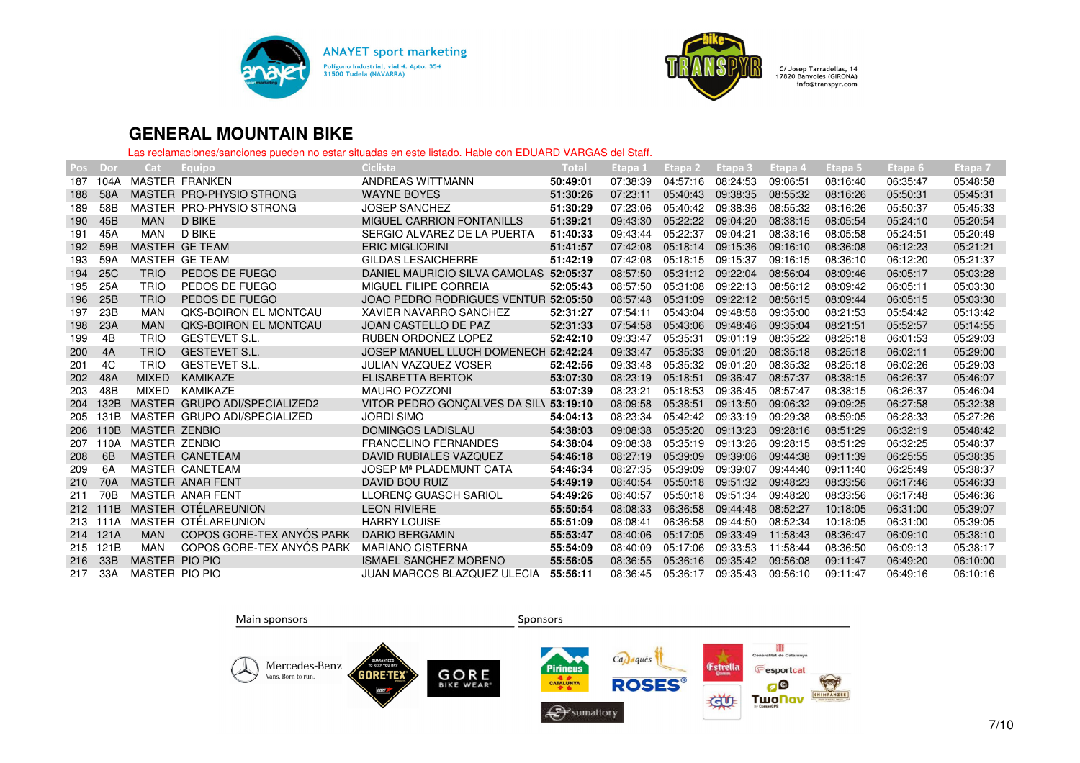



| Pos | Dor             | Cat                   | Equipo                        | Ciclista                               | Total    | Etapa 1  | Etapa 2  | Etapa 3  | Etapa 4  | Etapa 5  | Etapa 6, | Etapa 7  |
|-----|-----------------|-----------------------|-------------------------------|----------------------------------------|----------|----------|----------|----------|----------|----------|----------|----------|
| 187 | 104A            |                       | MASTER FRANKEN                | ANDREAS WITTMANN                       | 50:49:01 | 07:38:39 | 04:57:16 | 08:24:53 | 09:06:51 | 08:16:40 | 06:35:47 | 05:48:58 |
| 188 | 58A             |                       | MASTER PRO-PHYSIO STRONG      | <b>WAYNE BOYES</b>                     | 51:30:26 | 07:23:11 | 05:40:43 | 09:38:35 | 08:55:32 | 08:16:26 | 05:50:31 | 05:45:31 |
| 189 | 58B             |                       | MASTER PRO-PHYSIO STRONG      | <b>JOSEP SANCHEZ</b>                   | 51:30:29 | 07:23:06 | 05:40:42 | 09:38:36 | 08:55:32 | 08:16:26 | 05:50:37 | 05:45:33 |
| 190 | 45B             | <b>MAN</b>            | D BIKE                        | MIGUEL CARRION FONTANILLS              | 51:39:21 | 09:43:30 | 05:22:22 | 09:04:20 | 08:38:15 | 08:05:54 | 05:24:10 | 05:20:54 |
| 191 | 45A             | <b>MAN</b>            | <b>D BIKE</b>                 | SERGIO ALVAREZ DE LA PUERTA            | 51:40:33 | 09:43:44 | 05:22:37 | 09:04:21 | 08:38:16 | 08:05:58 | 05:24:51 | 05:20:49 |
| 192 | 59B             |                       | MASTER GE TEAM                | <b>ERIC MIGLIORINI</b>                 | 51:41:57 | 07:42:08 | 05:18:14 | 09:15:36 | 09:16:10 | 08:36:08 | 06:12:23 | 05:21:21 |
| 193 | 59A             |                       | MASTER GE TEAM                | <b>GILDAS LESAICHERRE</b>              | 51:42:19 | 07:42:08 | 05:18:15 | 09:15:37 | 09:16:15 | 08:36:10 | 06:12:20 | 05:21:37 |
| 194 | <b>25C</b>      | <b>TRIO</b>           | PEDOS DE FUEGO                | DANIEL MAURICIO SILVA CAMOLAS 52:05:37 |          | 08:57:50 | 05:31:12 | 09:22:04 | 08:56:04 | 08:09:46 | 06:05:17 | 05:03:28 |
| 195 | 25A             | <b>TRIO</b>           | PEDOS DE FUEGO                | MIGUEL FILIPE CORREIA                  | 52:05:43 | 08:57:50 | 05:31:08 | 09:22:13 | 08:56:12 | 08:09:42 | 06:05:11 | 05:03:30 |
| 196 | 25B             | <b>TRIO</b>           | PEDOS DE FUEGO                | JOAO PEDRO RODRIGUES VENTUR 52:05:50   |          | 08:57:48 | 05:31:09 | 09:22:12 | 08:56:15 | 08:09:44 | 06:05:15 | 05:03:30 |
| 197 | 23B             | <b>MAN</b>            | <b>QKS-BOIRON EL MONTCAU</b>  | XAVIER NAVARRO SANCHEZ                 | 52:31:27 | 07:54:11 | 05:43:04 | 09:48:58 | 09:35:00 | 08:21:53 | 05:54:42 | 05:13:42 |
| 198 | 23A             | <b>MAN</b>            | <b>QKS-BOIRON EL MONTCAU</b>  | <b>JOAN CASTELLO DE PAZ</b>            | 52:31:33 | 07:54:58 | 05:43:06 | 09:48:46 | 09:35:04 | 08:21:51 | 05:52:57 | 05:14:55 |
| 199 | 4B              | <b>TRIO</b>           | <b>GESTEVET S.L.</b>          | RUBEN ORDOÑEZ LOPEZ                    | 52:42:10 | 09:33:47 | 05:35:31 | 09:01:19 | 08:35:22 | 08:25:18 | 06:01:53 | 05:29:03 |
| 200 | 4A              | <b>TRIO</b>           | <b>GESTEVET S.L.</b>          | JOSEP MANUEL LLUCH DOMENECH 52:42:24   |          | 09:33:47 | 05:35:33 | 09:01:20 | 08:35:18 | 08:25:18 | 06:02:11 | 05:29:00 |
| 201 | 4C              | <b>TRIO</b>           | <b>GESTEVET S.L.</b>          | <b>JULIAN VAZQUEZ VOSER</b>            | 52:42:56 | 09:33:48 | 05:35:32 | 09:01:20 | 08:35:32 | 08:25:18 | 06:02:26 | 05:29:03 |
| 202 | 48A             | <b>MIXED</b>          | <b>KAMIKAZE</b>               | <b>ELISABETTA BERTOK</b>               | 53:07:30 | 08:23:19 | 05:18:51 | 09:36:47 | 08:57:37 | 08:38:15 | 06:26:37 | 05:46:07 |
| 203 | 48B             | <b>MIXED</b>          | KAMIKAZE                      | <b>MAURO POZZONI</b>                   | 53:07:39 | 08:23:21 | 05:18:53 | 09:36:45 | 08:57:47 | 08:38:15 | 06:26:37 | 05:46:04 |
| 204 | 132B            |                       | MASTER GRUPO ADI/SPECIALIZED2 | VITOR PEDRO GONCALVES DA SILV          | 53:19:10 | 08:09:58 | 05:38:51 | 09:13:50 | 09:06:32 | 09:09:25 | 06:27:58 | 05:32:38 |
| 205 | 131B            |                       | MASTER GRUPO ADI/SPECIALIZED  | <b>JORDI SIMO</b>                      | 54:04:13 | 08:23:34 | 05:42:42 | 09:33:19 | 09:29:38 | 08:59:05 | 06:28:33 | 05:27:26 |
| 206 | 110B            | <b>MASTER ZENBIO</b>  |                               | <b>DOMINGOS LADISLAU</b>               | 54:38:03 | 09:08:38 | 05:35:20 | 09:13:23 | 09:28:16 | 08:51:29 | 06:32:19 | 05:48:42 |
| 207 | 110A            | <b>MASTER ZENBIO</b>  |                               | <b>FRANCELINO FERNANDES</b>            | 54:38:04 | 09:08:38 | 05:35:19 | 09:13:26 | 09:28:15 | 08:51:29 | 06:32:25 | 05:48:37 |
| 208 | 6B              |                       | <b>MASTER CANETEAM</b>        | DAVID RUBIALES VAZQUEZ                 | 54:46:18 | 08:27:19 | 05:39:09 | 09:39:06 | 09:44:38 | 09:11:39 | 06:25:55 | 05:38:35 |
| 209 | 6A              |                       | MASTER CANETEAM               | JOSEP M <sup>ª</sup> PLADEMUNT CATA    | 54:46:34 | 08:27:35 | 05:39:09 | 09:39:07 | 09:44:40 | 09:11:40 | 06:25:49 | 05:38:37 |
| 210 | 70A             |                       | <b>MASTER ANAR FENT</b>       | DAVID BOU RUIZ                         | 54:49:19 | 08:40:54 | 05:50:18 | 09:51:32 | 09:48:23 | 08:33:56 | 06:17:46 | 05:46:33 |
| 211 | 70 <sub>B</sub> |                       | MASTER ANAR FENT              | LLORENÇ GUASCH SARIOL                  | 54:49:26 | 08:40:57 | 05:50:18 | 09:51:34 | 09:48:20 | 08:33:56 | 06:17:48 | 05:46:36 |
| 212 | 111B            |                       | MASTER OTÉLAREUNION           | <b>LEON RIVIERE</b>                    | 55:50:54 | 08:08:33 | 06:36:58 | 09:44:48 | 08:52:27 | 10:18:05 | 06:31:00 | 05:39:07 |
| 213 | 111A            |                       | MASTER OTÉLAREUNION           | <b>HARRY LOUISE</b>                    | 55:51:09 | 08:08:41 | 06:36:58 | 09:44:50 | 08:52:34 | 10:18:05 | 06:31:00 | 05:39:05 |
| 214 | 121A            | <b>MAN</b>            | COPOS GORE-TEX ANYÓS PARK     | <b>DARIO BERGAMIN</b>                  | 55:53:47 | 08:40:06 | 05:17:05 | 09:33:49 | 11:58:43 | 08:36:47 | 06:09:10 | 05:38:10 |
| 215 | 121B            | MAN                   | COPOS GORE-TEX ANYÓS PARK     | <b>MARIANO CISTERNA</b>                | 55:54:09 | 08:40:09 | 05:17:06 | 09:33:53 | 11:58:44 | 08:36:50 | 06:09:13 | 05:38:17 |
| 216 | 33B             | <b>MASTER PIO PIO</b> |                               | <b>ISMAEL SANCHEZ MORENO</b>           | 55:56:05 | 08:36:55 | 05:36:16 | 09:35:42 | 09:56:08 | 09:11:47 | 06:49:20 | 06:10:00 |
| 217 | 33A             | <b>MASTER PIO PIO</b> |                               | JUAN MARCOS BLAZQUEZ ULECIA            | 55:56:11 | 08:36:45 | 05:36:17 | 09:35:43 | 09:56:10 | 09:11:47 | 06:49:16 | 06:10:16 |

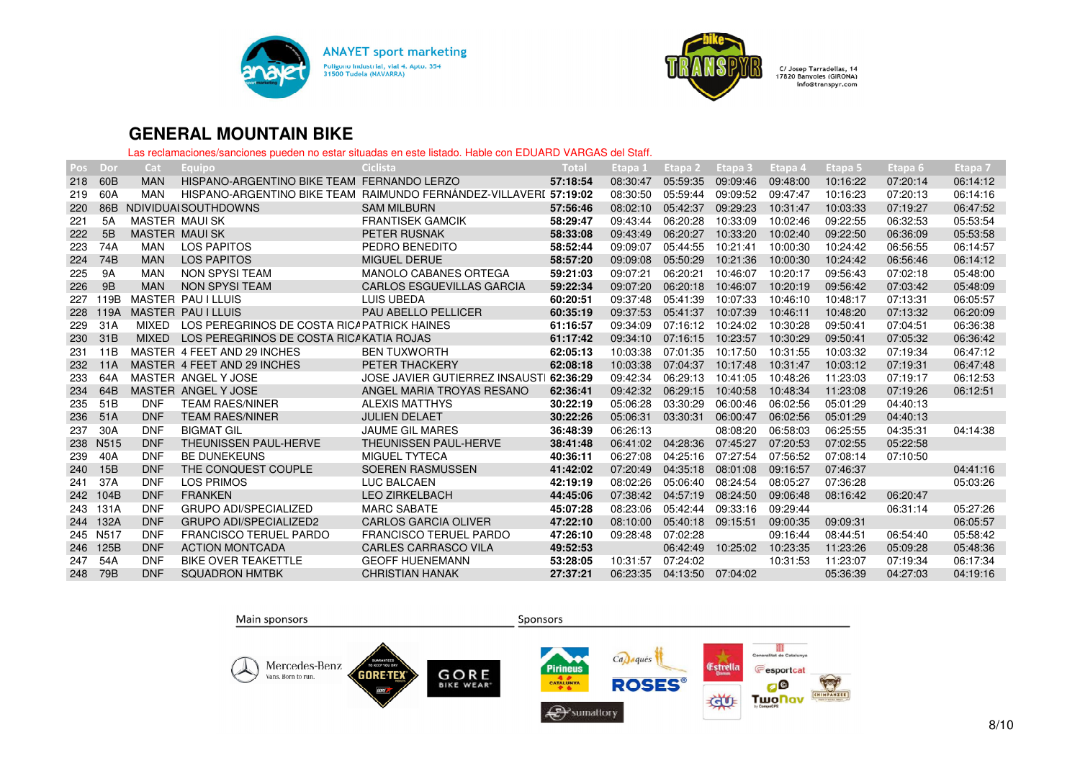



| Pos | Dor               | Cat                  | Equipo                                     | Ciclista                                                          | Total     | Etapa 1  | Etapa 2  | Etapa 3  | Etapa 4  | Etapa <sub>5</sub> | Etapa 6  | Etapa <sub>7</sub> |
|-----|-------------------|----------------------|--------------------------------------------|-------------------------------------------------------------------|-----------|----------|----------|----------|----------|--------------------|----------|--------------------|
| 218 | 60 <sub>B</sub>   | <b>MAN</b>           | HISPANO-ARGENTINO BIKE TEAM FERNANDO LERZO |                                                                   | 57:18:54  | 08:30:47 | 05:59:35 | 09:09:46 | 09:48:00 | 10:16:22           | 07:20:14 | 06:14:12           |
| 219 | 60A               | <b>MAN</b>           |                                            | HISPANO-ARGENTINO BIKE TEAM RAIMUNDO FERNANDEZ-VILLAVERI 57:19:02 |           | 08:30:50 | 05:59:44 | 09:09:52 | 09:47:47 | 10:16:23           | 07:20:13 | 06:14:16           |
| 220 | 86B               |                      | NDIVIDUAI SOUTHDOWNS                       | <b>SAM MILBURN</b>                                                | 57:56:46  | 08:02:10 | 05:42:37 | 09:29:23 | 10:31:47 | 10:03:33           | 07:19:27 | 06:47:52           |
| 221 | 5A                | <b>MASTER MAULSK</b> |                                            | <b>FRANTISEK GAMCIK</b>                                           | 58:29:47  | 09:43:44 | 06:20:28 | 10:33:09 | 10:02:46 | 09:22:55           | 06:32:53 | 05:53:54           |
| 222 | 5B                | <b>MASTER MAULSK</b> |                                            | <b>PETER RUSNAK</b>                                               | 58:33:08  | 09:43:49 | 06:20:27 | 10:33:20 | 10:02:40 | 09:22:50           | 06:36:09 | 05:53:58           |
| 223 | 74A               | <b>MAN</b>           | LOS PAPITOS                                | PEDRO BENEDITO                                                    | 58:52:44  | 09:09:07 | 05:44:55 | 10:21:41 | 10:00:30 | 10:24:42           | 06:56:55 | 06:14:57           |
| 224 | 74B               | <b>MAN</b>           | <b>LOS PAPITOS</b>                         | <b>MIGUEL DERUE</b>                                               | 58:57:20  | 09:09:08 | 05:50:29 | 10:21:36 | 10:00:30 | 10:24:42           | 06:56:46 | 06:14:12           |
| 225 | 9A                | <b>MAN</b>           | NON SPYSI TEAM                             | <b>MANOLO CABANES ORTEGA</b>                                      | 59:21:03  | 09:07:21 | 06:20:21 | 10:46:07 | 10:20:17 | 09:56:43           | 07:02:18 | 05:48:00           |
| 226 | 9B                | <b>MAN</b>           | NON SPYSI TEAM                             | <b>CARLOS ESGUEVILLAS GARCIA</b>                                  | 59:22:34  | 09:07:20 | 06:20:18 | 10:46:07 | 10:20:19 | 09:56:42           | 07:03:42 | 05:48:09           |
| 227 | 119B              |                      | <b>MASTER PAULLLUIS</b>                    | LUIS UBEDA                                                        | 60:20:51  | 09:37:48 | 05:41:39 | 10:07:33 | 10:46:10 | 10:48:17           | 07:13:31 | 06:05:57           |
| 228 | 119A              |                      | <b>MASTER PAULLUIS</b>                     | <b>PAU ABELLO PELLICER</b>                                        | 60:35:19  | 09:37:53 | 05:41:37 | 10:07:39 | 10:46:11 | 10:48:20           | 07:13:32 | 06:20:09           |
| 229 | 31A               | <b>MIXFD</b>         | LOS PEREGRINOS DE COSTA RICAPATRICK HAINES |                                                                   | 61:16:57  | 09:34:09 | 07:16:12 | 10:24:02 | 10:30:28 | 09:50:41           | 07:04:51 | 06:36:38           |
| 230 | 31B               | <b>MIXED</b>         | LOS PEREGRINOS DE COSTA RICAKATIA ROJAS    |                                                                   | 61:17:42  | 09:34:10 | 07:16:15 | 10:23:57 | 10:30:29 | 09:50:41           | 07:05:32 | 06:36:42           |
| 231 | 11B               |                      | MASTER 4 FEET AND 29 INCHES                | <b>BEN TUXWORTH</b>                                               | 62:05:13  | 10:03:38 | 07:01:35 | 10:17:50 | 10:31:55 | 10:03:32           | 07:19:34 | 06:47:12           |
| 232 | <b>11A</b>        |                      | MASTER 4 FEET AND 29 INCHES                | PETER THACKERY                                                    | 62:08:18  | 10:03:38 | 07:04:37 | 10:17:48 | 10:31:47 | 10:03:12           | 07:19:31 | 06:47:48           |
| 233 | 64A               |                      | MASTER ANGEL Y JOSE                        | <b>JOSE JAVIER GUTIERREZ INSAUST</b>                              | 162:36:29 | 09:42:34 | 06:29:13 | 10:41:05 | 10:48:26 | 11:23:03           | 07:19:17 | 06:12:53           |
| 234 | 64B               |                      | MASTER ANGEL Y JOSE                        | ANGEL MARIA TROYAS RESANO                                         | 62:36:41  | 09:42:32 | 06:29:15 | 10:40:58 | 10:48:34 | 11:23:08           | 07:19:26 | 06:12:51           |
| 235 | 51B               | <b>DNF</b>           | <b>TEAM RAES/NINER</b>                     | <b>ALEXIS MATTHYS</b>                                             | 30:22:19  | 05:06:28 | 03:30:29 | 06:00:46 | 06:02:56 | 05:01:29           | 04:40:13 |                    |
| 236 | 51A               | <b>DNF</b>           | <b>TEAM RAES/NINER</b>                     | <b>JULIEN DELAET</b>                                              | 30:22:26  | 05:06:31 | 03:30:31 | 06:00:47 | 06:02:56 | 05:01:29           | 04:40:13 |                    |
| 237 | 30A               | <b>DNF</b>           | <b>BIGMAT GIL</b>                          | <b>JAUME GIL MARES</b>                                            | 36:48:39  | 06:26:13 |          | 08:08:20 | 06:58:03 | 06:25:55           | 04:35:31 | 04:14:38           |
| 238 | N <sub>5</sub> 15 | <b>DNF</b>           | <b>THEUNISSEN PAUL-HERVE</b>               | <b>THEUNISSEN PAUL-HERVE</b>                                      | 38:41:48  | 06:41:02 | 04:28:36 | 07:45:27 | 07:20:53 | 07:02:55           | 05:22:58 |                    |
| 239 | 40A               | <b>DNF</b>           | <b>BE DUNEKEUNS</b>                        | <b>MIGUEL TYTECA</b>                                              | 40:36:11  | 06:27:08 | 04:25:16 | 07:27:54 | 07:56:52 | 07:08:14           | 07:10:50 |                    |
| 240 | 15B               | <b>DNF</b>           | THE CONQUEST COUPLE                        | <b>SOEREN RASMUSSEN</b>                                           | 41:42:02  | 07:20:49 | 04:35:18 | 08:01:08 | 09:16:57 | 07:46:37           |          | 04:41:16           |
| 241 | 37A               | <b>DNF</b>           | <b>LOS PRIMOS</b>                          | LUC BALCAEN                                                       | 42:19:19  | 08:02:26 | 05:06:40 | 08:24:54 | 08:05:27 | 07:36:28           |          | 05:03:26           |
| 242 | 104B              | <b>DNF</b>           | <b>FRANKEN</b>                             | <b>LEO ZIRKELBACH</b>                                             | 44:45:06  | 07:38:42 | 04:57:19 | 08:24:50 | 09:06:48 | 08:16:42           | 06:20:47 |                    |
| 243 | 131A              | <b>DNF</b>           | <b>GRUPO ADI/SPECIALIZED</b>               | <b>MARC SABATE</b>                                                | 45:07:28  | 08:23:06 | 05:42:44 | 09:33:16 | 09:29:44 |                    | 06:31:14 | 05:27:26           |
| 244 | 132A              | <b>DNF</b>           | <b>GRUPO ADI/SPECIALIZED2</b>              | <b>CARLOS GARCIA OLIVER</b>                                       | 47:22:10  | 08:10:00 | 05:40:18 | 09:15:51 | 09:00:35 | 09:09:31           |          | 06:05:57           |
| 245 | N517              | <b>DNF</b>           | <b>FRANCISCO TERUEL PARDO</b>              | <b>FRANCISCO TERUEL PARDO</b>                                     | 47:26:10  | 09:28:48 | 07:02:28 |          | 09:16:44 | 08:44:51           | 06:54:40 | 05:58:42           |
| 246 | 125B              | <b>DNF</b>           | <b>ACTION MONTCADA</b>                     | <b>CARLES CARRASCO VILA</b>                                       | 49:52:53  |          | 06:42:49 | 10:25:02 | 10:23:35 | 11:23:26           | 05:09:28 | 05:48:36           |
| 247 | 54A               | <b>DNF</b>           | BIKE OVER TEAKETTLE                        | <b>GEOFF HUENEMANN</b>                                            | 53:28:05  | 10:31:57 | 07:24:02 |          | 10:31:53 | 11:23:07           | 07:19:34 | 06:17:34           |
| 248 | 79B               | <b>DNF</b>           | <b>SQUADRON HMTBK</b>                      | <b>CHRISTIAN HANAK</b>                                            | 27:37:21  | 06:23:35 | 04:13:50 | 07:04:02 |          | 05:36:39           | 04:27:03 | 04:19:16           |

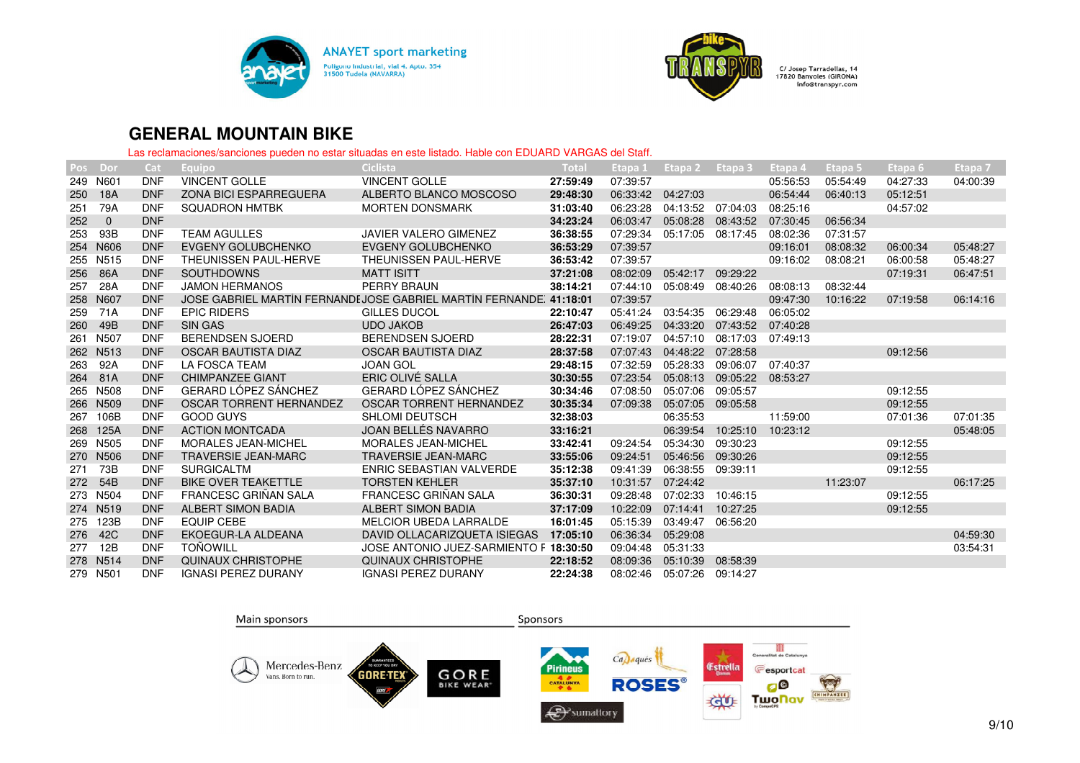



| Pos | Dor              | Cat        | Equipo                        | <b>Ciclista</b>                                                     | Total    | Etapa 1  | Etapa <sub>2</sub> | Etapa 3  | Etapa 4  | <b>Etapa 5</b> | Etapa <sub>6</sub> | Etapa <sub>7</sub> |
|-----|------------------|------------|-------------------------------|---------------------------------------------------------------------|----------|----------|--------------------|----------|----------|----------------|--------------------|--------------------|
| 249 | N601             | <b>DNF</b> | <b>VINCENT GOLLE</b>          | <b>VINCENT GOLLE</b>                                                | 27:59:49 | 07:39:57 |                    |          | 05:56:53 | 05:54:49       | 04:27:33           | 04:00:39           |
| 250 | 18A              | <b>DNF</b> | <b>ZONA BICI ESPARREGUERA</b> | ALBERTO BLANCO MOSCOSO                                              | 29:48:30 | 06:33:42 | 04:27:03           |          | 06:54:44 | 06:40:13       | 05:12:51           |                    |
| 251 | 79A              | <b>DNF</b> | <b>SQUADRON HMTBK</b>         | <b>MORTEN DONSMARK</b>                                              | 31:03:40 | 06:23:28 | 04:13:52           | 07:04:03 | 08:25:16 |                | 04:57:02           |                    |
| 252 | $\mathbf 0$      | <b>DNF</b> |                               |                                                                     | 34:23:24 | 06:03:47 | 05:08:28           | 08:43:52 | 07:30:45 | 06:56:34       |                    |                    |
| 253 | 93B              | <b>DNF</b> | <b>TEAM AGULLES</b>           | <b>JAVIER VALERO GIMENEZ</b>                                        | 36:38:55 | 07:29:34 | 05:17:05           | 08:17:45 | 08:02:36 | 07:31:57       |                    |                    |
| 254 | N606             | <b>DNF</b> | EVGENY GOLUBCHENKO            | <b>EVGENY GOLUBCHENKO</b>                                           | 36:53:29 | 07:39:57 |                    |          | 09:16:01 | 08:08:32       | 06:00:34           | 05:48:27           |
| 255 | N515             | <b>DNF</b> | THEUNISSEN PAUL-HERVE         | THEUNISSEN PAUL-HERVE                                               | 36:53:42 | 07:39:57 |                    |          | 09:16:02 | 08:08:21       | 06:00:58           | 05:48:27           |
| 256 | 86A              | <b>DNF</b> | SOUTHDOWNS                    | <b>MATT ISITT</b>                                                   | 37:21:08 | 08:02:09 | 05:42:17           | 09:29:22 |          |                | 07:19:31           | 06:47:51           |
| 257 | 28A              | <b>DNF</b> | <b>JAMON HERMANOS</b>         | PERRY BRAUN                                                         | 38:14:21 | 07:44:10 | 05:08:49           | 08:40:26 | 08:08:13 | 08:32:44       |                    |                    |
| 258 | N607             | <b>DNF</b> |                               | JOSE GABRIEL MARTÍN FERNANDI JOSE GABRIEL MARTÍN FERNANDE, 41:18:01 |          | 07:39:57 |                    |          | 09:47:30 | 10:16:22       | 07:19:58           | 06:14:16           |
| 259 | 71A              | <b>DNF</b> | <b>EPIC RIDERS</b>            | GILLES DUCOL                                                        | 22:10:47 | 05:41:24 | 03:54:35           | 06:29:48 | 06:05:02 |                |                    |                    |
| 260 | 49B              | <b>DNF</b> | <b>SIN GAS</b>                | <b>UDO JAKOB</b>                                                    | 26:47:03 | 06:49:25 | 04:33:20           | 07:43:52 | 07:40:28 |                |                    |                    |
| 261 | N <sub>507</sub> | <b>DNF</b> | <b>BERENDSEN SJOERD</b>       | <b>BERENDSEN SJOERD</b>                                             | 28:22:31 | 07:19:07 | 04:57:10           | 08:17:03 | 07:49:13 |                |                    |                    |
| 262 | N513             | <b>DNF</b> | OSCAR BAUTISTA DIAZ           | OSCAR BAUTISTA DIAZ                                                 | 28:37:58 | 07:07:43 | 04:48:22           | 07:28:58 |          |                | 09:12:56           |                    |
| 263 | 92A              | <b>DNF</b> | <b>LA FOSCA TEAM</b>          | <b>JOAN GOL</b>                                                     | 29:48:15 | 07:32:59 | 05:28:33           | 09:06:07 | 07:40:37 |                |                    |                    |
| 264 | 81A              | <b>DNF</b> | <b>CHIMPANZEE GIANT</b>       | ERIC OLIVÉ SALLA                                                    | 30:30:55 | 07:23:54 | 05:08:13           | 09:05:22 | 08:53:27 |                |                    |                    |
| 265 | N508             | <b>DNF</b> | <b>GERARD LÓPEZ SÁNCHEZ</b>   | <b>GERARD LÓPEZ SÁNCHEZ</b>                                         | 30:34:46 | 07:08:50 | 05:07:06           | 09:05:57 |          |                | 09:12:55           |                    |
| 266 | N <sub>509</sub> | <b>DNF</b> | OSCAR TORRENT HERNANDEZ       | OSCAR TORRENT HERNANDEZ                                             | 30:35:34 | 07:09:38 | 05:07:05           | 09:05:58 |          |                | 09:12:55           |                    |
| 267 | 106B             | <b>DNF</b> | <b>GOOD GUYS</b>              | <b>SHLOMI DEUTSCH</b>                                               | 32:38:03 |          | 06:35:53           |          | 11:59:00 |                | 07:01:36           | 07:01:35           |
| 268 | 125A             | <b>DNF</b> | <b>ACTION MONTCADA</b>        | JOAN BELLÉS NAVARRO                                                 | 33:16:21 |          | 06:39:54           | 10:25:10 | 10:23:12 |                |                    | 05:48:05           |
| 269 | N <sub>505</sub> | <b>DNF</b> | <b>MORALES JEAN-MICHEL</b>    | <b>MORALES JEAN-MICHEL</b>                                          | 33:42:41 | 09:24:54 | 05:34:30           | 09:30:23 |          |                | 09:12:55           |                    |
| 270 | N506             | <b>DNF</b> | <b>TRAVERSIE JEAN-MARC</b>    | <b>TRAVERSIE JEAN-MARC</b>                                          | 33:55:06 | 09:24:51 | 05:46:56           | 09:30:26 |          |                | 09:12:55           |                    |
| 271 | 73B              | <b>DNF</b> | <b>SURGICALTM</b>             | <b>ENRIC SEBASTIAN VALVERDE</b>                                     | 35:12:38 | 09:41:39 | 06:38:55           | 09:39:11 |          |                | 09:12:55           |                    |
| 272 | 54B              | <b>DNF</b> | <b>BIKE OVER TEAKETTLE</b>    | <b>TORSTEN KEHLER</b>                                               | 35:37:10 | 10:31:57 | 07:24:42           |          |          | 11:23:07       |                    | 06:17:25           |
| 273 | N504             | <b>DNF</b> | <b>FRANCESC GRINAN SALA</b>   | <b>FRANCESC GRINAN SALA</b>                                         | 36:30:31 | 09:28:48 | 07:02:33           | 10:46:15 |          |                | 09:12:55           |                    |
|     | 274 N519         | <b>DNF</b> | ALBERT SIMON BADIA            | <b>ALBERT SIMON BADIA</b>                                           | 37:17:09 | 10:22:09 | 07:14:41           | 10:27:25 |          |                | 09:12:55           |                    |
| 275 | 123B             | <b>DNF</b> | <b>EQUIP CEBE</b>             | <b>MELCIOR UBEDA LARRALDE</b>                                       | 16:01:45 | 05:15:39 | 03:49:47           | 06:56:20 |          |                |                    |                    |
| 276 | 42C              | <b>DNF</b> | EKOEGUR-LA ALDEANA            | DAVID OLLACARIZQUETA ISIEGAS                                        | 17:05:10 | 06:36:34 | 05:29:08           |          |          |                |                    | 04:59:30           |
| 277 | 12B              | <b>DNF</b> | <b>TONOWILL</b>               | JOSE ANTONIO JUEZ-SARMIENTO F 18:30:50                              |          | 09:04:48 | 05:31:33           |          |          |                |                    | 03:54:31           |
|     | 278 N514         | <b>DNF</b> | <b>QUINAUX CHRISTOPHE</b>     | <b>QUINAUX CHRISTOPHE</b>                                           | 22:18:52 | 08:09:36 | 05:10:39           | 08:58:39 |          |                |                    |                    |
|     | 279 N501         | <b>DNF</b> | <b>IGNASI PEREZ DURANY</b>    | <b>IGNASI PEREZ DURANY</b>                                          | 22:24:38 | 08:02:46 | 05:07:26           | 09:14:27 |          |                |                    |                    |